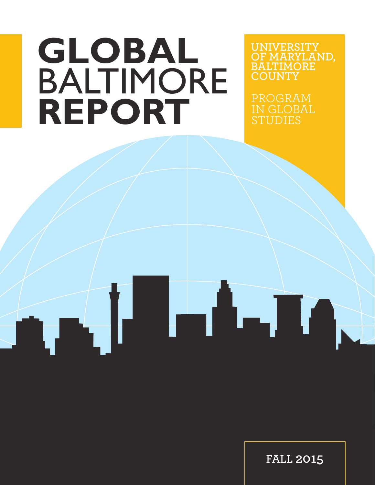# **GLOBAL**  BALTIMORE **REPORT**

**UNIVERSITY OF MARYLAND, BALTIMORE COUNTY**

PROGRAM IN GLOBAL

HH H

**FALL 2015**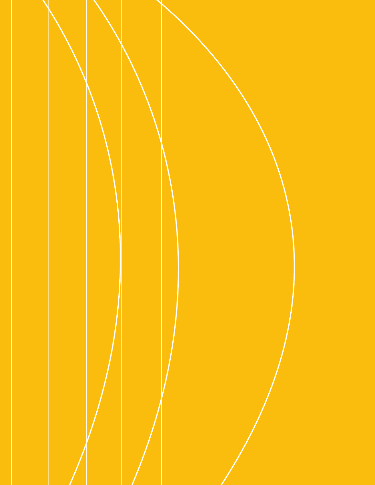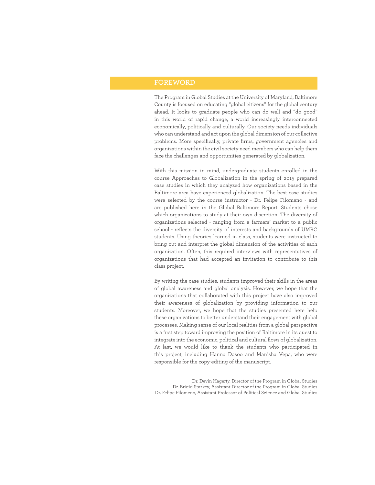#### **FOREWORD**

The Program in Global Studies at the University of Maryland, Baltimore County is focused on educating "global citizens" for the global century ahead. It looks to graduate people who can do well and "do good" in this world of rapid change, a world increasingly interconnected economically, politically and culturally. Our society needs individuals who can understand and act upon the global dimension of our collective problems. More specifically, private firms, government agencies and organizations within the civil society need members who can help them face the challenges and opportunities generated by globalization.

With this mission in mind, undergraduate students enrolled in the course Approaches to Globalization in the spring of 2015 prepared case studies in which they analyzed how organizations based in the Baltimore area have experienced globalization. The best case studies were selected by the course instructor - Dr. Felipe Filomeno - and are published here in the Global Baltimore Report. Students chose which organizations to study at their own discretion. The diversity of organizations selected - ranging from a farmers' market to a public school - reflects the diversity of interests and backgrounds of UMBC students. Using theories learned in class, students were instructed to bring out and interpret the global dimension of the activities of each organization. Often, this required interviews with representatives of organizations that had accepted an invitation to contribute to this class project.

By writing the case studies, students improved their skills in the areas of global awareness and global analysis. However, we hope that the organizations that collaborated with this project have also improved their awareness of globalization by providing information to our students. Moreover, we hope that the studies presented here help these organizations to better understand their engagement with global processes. Making sense of our local realities from a global perspective is a first step toward improving the position of Baltimore in its quest to integrate into the economic, political and cultural flows of globalization. At last, we would like to thank the students who participated in this project, including Hanna Dasoo and Manisha Vepa, who were responsible for the copy-editing of the manuscript.

Dr. Devin Hagerty, Director of the Program in Global Studies Dr. Brigid Starkey, Assistant Director of the Program in Global Studies Dr. Felipe Filomeno, Assistant Professor of Political Science and Global Studies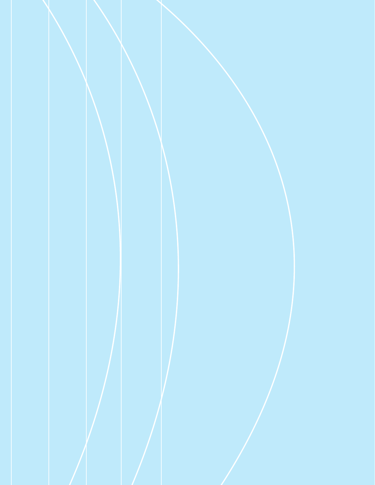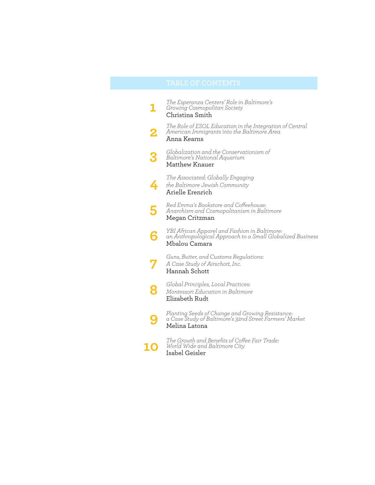|   | The Esperanza Centers' Role in Baltimore's<br>Growing Cosmopolitan Society<br>Christina Smith                                |
|---|------------------------------------------------------------------------------------------------------------------------------|
| 2 | The Role of ESOL Education in the Integration of Central<br>American Immigrants into the Baltimore Area<br>Anna Kearns       |
|   | Globalization and the Conservationism of<br>Baltimore's National Aquarium<br>Matthew Knauer                                  |
| 4 | The Associated: Globally Engaging<br>the Baltimore Jewish Community<br>Arielle Erenrich                                      |
|   | Red Emma's Bookstore and Coffeehouse:<br>Anarchism and Cosmopolitanism in Baltimore<br>Megan Critzman                        |
|   | YBI African Apparel and Fashion in Baltimore:<br>an Anthropological Approach to a Small Globalized Business<br>Mbalou Camara |
|   | Guns, Butter, and Customs Regulations:<br>A Case Study of Airschott, Inc.<br>Hannah Schott                                   |
|   | Global Principles, Local Practices:<br>Montessori Education in Baltimore<br>Elizabeth Rudt                                   |
|   | Planting Seeds of Change and Growing Resistance:<br>a Case Study of Baltimore's 32nd Street Farmers' Market<br>Melina Latona |
|   | The Growth and Benefits of Coffee Fair Trade:<br>World Wide and Baltimore City<br>Isabel Geisler                             |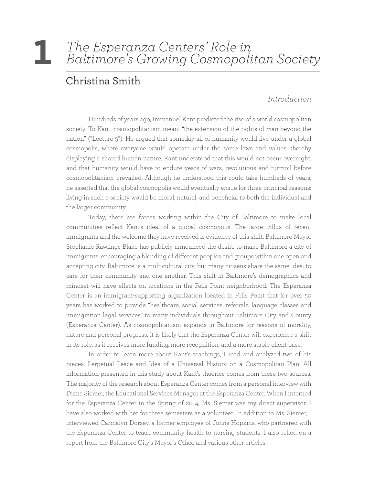# Christina Smith

### *Introduction*

Hundreds of years ago, Immanuel Kant predicted the rise of a world cosmopolitan society. To Kant, cosmopolitanism meant "the extension of the rights of man beyond the nation" ("Lecture 5"). He argued that someday all of humanity would live under a global cosmopolis, where everyone would operate under the same laws and values, thereby displaying a shared human nature. Kant understood that this would not occur overnight, and that humanity would have to endure years of wars, revolutions and turmoil before cosmopolitanism prevailed. Although he understood this could take hundreds of years, he asserted that the global cosmopolis would eventually ensue for three principal reasons: living in such a society would be moral, natural, and beneficial to both the individual and the larger community.

Today, there are forces working within the City of Baltimore to make local communities reflect Kant's ideal of a global cosmopolis. The large influx of recent immigrants and the welcome they have received is evidence of this shift. Baltimore Mayor Stephanie Rawlings-Blake has publicly announced the desire to make Baltimore a city of immigrants, encouraging a blending of different peoples and groups within one open and accepting city. Baltimore is a multicultural city, but many citizens share the same idea: to care for their community and one another. This shift in Baltimore's demographics and mindset will have effects on locations in the Fells Point neighborhood. The Esperanza Center is an immigrant-supporting organization located in Fells Point that for over 50 years has worked to provide "healthcare, social services, referrals, language classes and immigration legal services" to many individuals throughout Baltimore City and County (Esperanza Center). As cosmopolitanism expands in Baltimore for reasons of morality, nature and personal progress, it is likely that the Esperanza Center will experience a shift in its role, as it receives more funding, more recognition, and a more stable client base.

In order to learn more about Kant's teachings, I read and analyzed two of his pieces: Perpetual Peace and Idea of a Universal History on a Cosmopolitan Plan. All information presented in this study about Kant's theories comes from these two sources. The majority of the research about Esperanza Center comes from a personal interview with Diana Siemer, the Educational Services Manager at the Esperanza Center. When I interned for the Esperanza Center in the Spring of 2014, Ms. Siemer was my direct supervisor. I have also worked with her for three semesters as a volunteer. In addition to Ms. Siemer, I interviewed Carmalyn Dorsey, a former employee of Johns Hopkins, who partnered with the Esperanza Center to teach community health to nursing students. I also relied on a report from the Baltimore City's Mayor's Office and various other articles.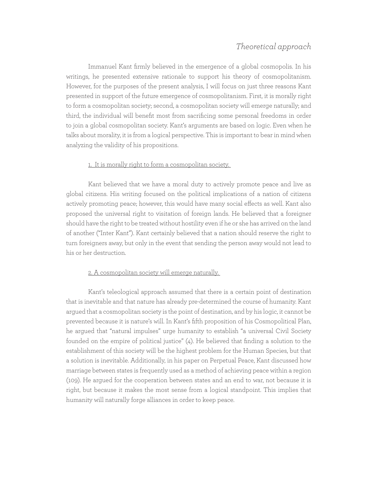### *Theoretical approach*

Immanuel Kant firmly believed in the emergence of a global cosmopolis. In his writings, he presented extensive rationale to support his theory of cosmopolitanism. However, for the purposes of the present analysis, I will focus on just three reasons Kant presented in support of the future emergence of cosmopolitanism. First, it is morally right to form a cosmopolitan society; second, a cosmopolitan society will emerge naturally; and third, the individual will benefit most from sacrificing some personal freedoms in order to join a global cosmopolitan society. Kant's arguments are based on logic. Even when he talks about morality, it is from a logical perspective. This is important to bear in mind when analyzing the validity of his propositions.

### 1. It is morally right to form a cosmopolitan society.

Kant believed that we have a moral duty to actively promote peace and live as global citizens. His writing focused on the political implications of a nation of citizens actively promoting peace; however, this would have many social effects as well. Kant also proposed the universal right to visitation of foreign lands. He believed that a foreigner should have the right to be treated without hostility even if he or she has arrived on the land of another ("Inter Kant"). Kant certainly believed that a nation should reserve the right to turn foreigners away, but only in the event that sending the person away would not lead to his or her destruction.

### 2. A cosmopolitan society will emerge naturally.

Kant's teleological approach assumed that there is a certain point of destination that is inevitable and that nature has already pre-determined the course of humanity. Kant argued that a cosmopolitan society is the point of destination, and by his logic, it cannot be prevented because it is nature's will. In Kant's fifth proposition of his Cosmopolitical Plan, he argued that "natural impulses" urge humanity to establish "a universal Civil Society founded on the empire of political justice" (4). He believed that finding a solution to the establishment of this society will be the highest problem for the Human Species, but that a solution is inevitable. Additionally, in his paper on Perpetual Peace, Kant discussed how marriage between states is frequently used as a method of achieving peace within a region (109). He argued for the cooperation between states and an end to war, not because it is right, but because it makes the most sense from a logical standpoint. This implies that humanity will naturally forge alliances in order to keep peace.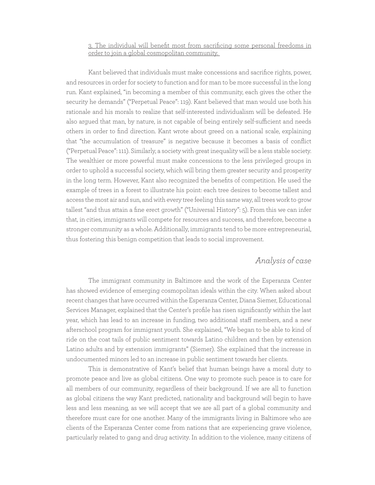### 3. The individual will benefit most from sacrificing some personal freedoms in order to join a global cosmopolitan community.

Kant believed that individuals must make concessions and sacrifice rights, power, and resources in order for society to function and for man to be more successful in the long run. Kant explained, "in becoming a member of this community, each gives the other the security he demands" ("Perpetual Peace": 119). Kant believed that man would use both his rationale and his morals to realize that self-interested individualism will be defeated. He also argued that man, by nature, is not capable of being entirely self-sufficient and needs others in order to find direction. Kant wrote about greed on a national scale, explaining that "the accumulation of treasure" is negative because it becomes a basis of conflict ("Perpetual Peace": 111). Similarly, a society with great inequality will be a less stable society. The wealthier or more powerful must make concessions to the less privileged groups in order to uphold a successful society, which will bring them greater security and prosperity in the long term. However, Kant also recognized the benefits of competition. He used the example of trees in a forest to illustrate his point: each tree desires to become tallest and access the most air and sun, and with every tree feeling this same way, all trees work to grow tallest "and thus attain a fine erect growth" ("Universal History": 5). From this we can infer that, in cities, immigrants will compete for resources and success, and therefore, become a stronger community as a whole. Additionally, immigrants tend to be more entrepreneurial, thus fostering this benign competition that leads to social improvement.

### *Analysis of case*

The immigrant community in Baltimore and the work of the Esperanza Center has showed evidence of emerging cosmopolitan ideals within the city. When asked about recent changes that have occurred within the Esperanza Center, Diana Siemer, Educational Services Manager, explained that the Center's profile has risen significantly within the last year, which has lead to an increase in funding, two additional staff members, and a new afterschool program for immigrant youth. She explained, "We began to be able to kind of ride on the coat tails of public sentiment towards Latino children and then by extension Latino adults and by extension immigrants" (Siemer). She explained that the increase in undocumented minors led to an increase in public sentiment towards her clients.

This is demonstrative of Kant's belief that human beings have a moral duty to promote peace and live as global citizens. One way to promote such peace is to care for all members of our community, regardless of their background. If we are all to function as global citizens the way Kant predicted, nationality and background will begin to have less and less meaning, as we will accept that we are all part of a global community and therefore must care for one another. Many of the immigrants living in Baltimore who are clients of the Esperanza Center come from nations that are experiencing grave violence, particularly related to gang and drug activity. In addition to the violence, many citizens of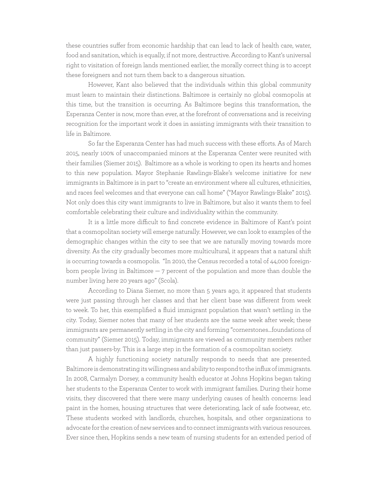these countries suffer from economic hardship that can lead to lack of health care, water, food and sanitation, which is equally, if not more, destructive. According to Kant's universal right to visitation of foreign lands mentioned earlier, the morally correct thing is to accept these foreigners and not turn them back to a dangerous situation.

However, Kant also believed that the individuals within this global community must learn to maintain their distinctions. Baltimore is certainly no global cosmopolis at this time, but the transition is occurring. As Baltimore begins this transformation, the Esperanza Center is now, more than ever, at the forefront of conversations and is receiving recognition for the important work it does in assisting immigrants with their transition to life in Baltimore.

So far the Esperanza Center has had much success with these efforts. As of March 2015, nearly 100% of unaccompanied minors at the Esperanza Center were reunited with their families (Siemer 2015). Baltimore as a whole is working to open its hearts and homes to this new population. Mayor Stephanie Rawlings-Blake's welcome initiative for new immigrants in Baltimore is in part to "create an environment where all cultures, ethnicities, and races feel welcomes and that everyone can call home" ("Mayor Rawlings-Blake" 2015). Not only does this city want immigrants to live in Baltimore, but also it wants them to feel comfortable celebrating their culture and individuality within the community.

It is a little more difficult to find concrete evidence in Baltimore of Kant's point that a cosmopolitan society will emerge naturally. However, we can look to examples of the demographic changes within the city to see that we are naturally moving towards more diversity. As the city gradually becomes more multicultural, it appears that a natural shift is occurring towards a cosmopolis. "In 2010, the Census recorded a total of 44,000 foreignborn people living in Baltimore — 7 percent of the population and more than double the number living here 20 years ago" (Scola).

According to Diana Siemer, no more than 5 years ago, it appeared that students were just passing through her classes and that her client base was different from week to week. To her, this exemplified a fluid immigrant population that wasn't settling in the city. Today, Siemer notes that many of her students are the same week after week; these immigrants are permanently settling in the city and forming "cornerstones…foundations of community" (Siemer 2015). Today, immigrants are viewed as community members rather than just passers-by. This is a large step in the formation of a cosmopolitan society.

A highly functioning society naturally responds to needs that are presented. Baltimore is demonstrating its willingness and ability to respond to the influx of immigrants. In 2008, Carmalyn Dorsey, a community health educator at Johns Hopkins began taking her students to the Esperanza Center to work with immigrant families. During their home visits, they discovered that there were many underlying causes of health concerns: lead paint in the homes, housing structures that were deteriorating, lack of safe footwear, etc. These students worked with landlords, churches, hospitals, and other organizations to advocate for the creation of new services and to connect immigrants with various resources. Ever since then, Hopkins sends a new team of nursing students for an extended period of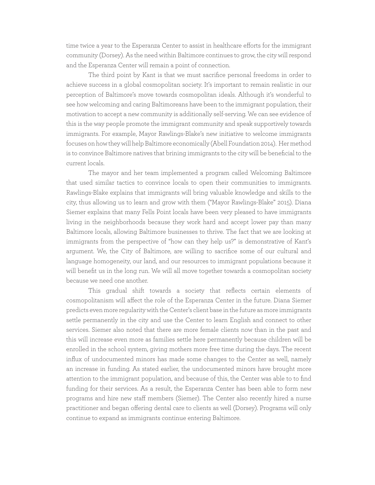time twice a year to the Esperanza Center to assist in healthcare efforts for the immigrant community (Dorsey). As the need within Baltimore continues to grow, the city will respond and the Esperanza Center will remain a point of connection.

The third point by Kant is that we must sacrifice personal freedoms in order to achieve success in a global cosmopolitan society. It's important to remain realistic in our perception of Baltimore's move towards cosmopolitan ideals. Although it's wonderful to see how welcoming and caring Baltimoreans have been to the immigrant population, their motivation to accept a new community is additionally self-serving. We can see evidence of this is the way people promote the immigrant community and speak supportively towards immigrants. For example, Mayor Rawlings-Blake's new initiative to welcome immigrants focuses on how they will help Baltimore economically (Abell Foundation 2014). Her method is to convince Baltimore natives that brining immigrants to the city will be beneficial to the current locals.

The mayor and her team implemented a program called Welcoming Baltimore that used similar tactics to convince locals to open their communities to immigrants. Rawlings-Blake explains that immigrants will bring valuable knowledge and skills to the city, thus allowing us to learn and grow with them ("Mayor Rawlings-Blake" 2015). Diana Siemer explains that many Fells Point locals have been very pleased to have immigrants living in the neighborhoods because they work hard and accept lower pay than many Baltimore locals, allowing Baltimore businesses to thrive. The fact that we are looking at immigrants from the perspective of "how can they help us?" is demonstrative of Kant's argument. We, the City of Baltimore, are willing to sacrifice some of our cultural and language homogeneity, our land, and our resources to immigrant populations because it will benefit us in the long run. We will all move together towards a cosmopolitan society because we need one another.

This gradual shift towards a society that reflects certain elements of cosmopolitanism will affect the role of the Esperanza Center in the future. Diana Siemer predicts even more regularity with the Center's client base in the future as more immigrants settle permanently in the city and use the Center to learn English and connect to other services. Siemer also noted that there are more female clients now than in the past and this will increase even more as families settle here permanently because children will be enrolled in the school system, giving mothers more free time during the days. The recent influx of undocumented minors has made some changes to the Center as well, namely an increase in funding. As stated earlier, the undocumented minors have brought more attention to the immigrant population, and because of this, the Center was able to to find funding for their services. As a result, the Esperanza Center has been able to form new programs and hire new staff members (Siemer). The Center also recently hired a nurse practitioner and began offering dental care to clients as well (Dorsey). Programs will only continue to expand as immigrants continue entering Baltimore.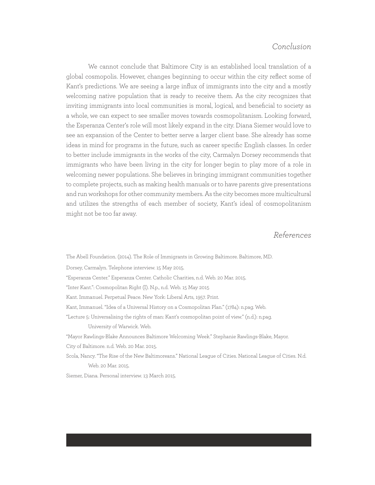### *Conclusion*

We cannot conclude that Baltimore City is an established local translation of a global cosmopolis. However, changes beginning to occur within the city reflect some of Kant's predictions. We are seeing a large influx of immigrants into the city and a mostly welcoming native population that is ready to receive them. As the city recognizes that inviting immigrants into local communities is moral, logical, and beneficial to society as a whole, we can expect to see smaller moves towards cosmopolitanism. Looking forward, the Esperanza Center's role will most likely expand in the city. Diana Siemer would love to see an expansion of the Center to better serve a larger client base. She already has some ideas in mind for programs in the future, such as career specific English classes. In order to better include immigrants in the works of the city, Carmalyn Dorsey recommends that immigrants who have been living in the city for longer begin to play more of a role in welcoming newer populations. She believes in bringing immigrant communities together to complete projects, such as making health manuals or to have parents give presentations and run workshops for other community members. As the city becomes more multicultural and utilizes the strengths of each member of society, Kant's ideal of cosmopolitanism might not be too far away.

### *References*

- The Abell Foundation. (2014). The Role of Immigrants in Growing Baltimore. Baltimore, MD.
- Dorsey, Carmalyn. Telephone interview. 15 May 2015.
- "Esperanza Center." Esperanza Center. Catholic Charities, n.d. Web. 20 Mar. 2015.
- "Inter Kant.": Cosmopolitan Right (I). N.p., n.d. Web. 15 May 2015
- Kant. Immanuel. Perpetual Peace. New York: Liberal Arts, 1957. Print.
- Kant, Immanuel. "Idea of a Universal History on a Cosmopolitan Plan." (1784): n.pag. Web.
- "Lecture 5: Universalising the rights of man: Kant's cosmopolitan point of view." (n.d.): n.pag. University of Warwick. Web.
- "Mayor Rawlings-Blake Announces Baltimore Welcoming Week." Stephanie Rawlings-Blake, Mayor.
- City of Baltimore. n.d. Web. 20 Mar. 2015.
- Scola, Nancy. "The Rise of the New Baltimoreans." National League of Cities. National League of Cities. N.d. Web. 20 Mar. 2015.
- Siemer, Diana. Personal interview. 13 March 2015.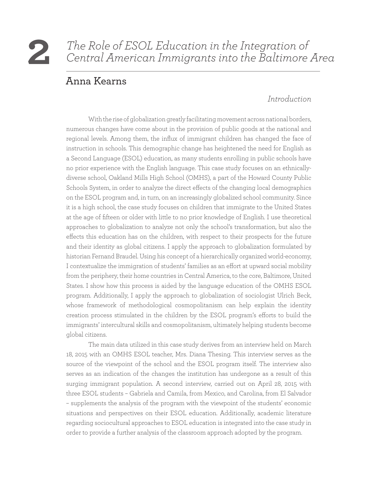# **2** *The Role of ESOL Education in the Integration of Central American Immigrants into the Baltimore Area*

### Anna Kearns

### *Introduction*

With the rise of globalization greatly facilitating movement across national borders, numerous changes have come about in the provision of public goods at the national and regional levels. Among them, the influx of immigrant children has changed the face of instruction in schools. This demographic change has heightened the need for English as a Second Language (ESOL) education, as many students enrolling in public schools have no prior experience with the English language. This case study focuses on an ethnicallydiverse school, Oakland Mills High School (OMHS), a part of the Howard County Public Schools System, in order to analyze the direct effects of the changing local demographics on the ESOL program and, in turn, on an increasingly globalized school community. Since it is a high school, the case study focuses on children that immigrate to the United States at the age of fifteen or older with little to no prior knowledge of English. I use theoretical approaches to globalization to analyze not only the school's transformation, but also the effects this education has on the children, with respect to their prospects for the future and their identity as global citizens. I apply the approach to globalization formulated by historian Fernand Braudel. Using his concept of a hierarchically organized world-economy, I contextualize the immigration of students' families as an effort at upward social mobility from the periphery, their home countries in Central America, to the core, Baltimore, United States. I show how this process is aided by the language education of the OMHS ESOL program. Additionally, I apply the approach to globalization of sociologist Ulrich Beck, whose framework of methodological cosmopolitanism can help explain the identity creation process stimulated in the children by the ESOL program's efforts to build the immigrants' intercultural skills and cosmopolitanism, ultimately helping students become global citizens.

The main data utilized in this case study derives from an interview held on March 18, 2015 with an OMHS ESOL teacher, Mrs. Diana Thesing. This interview serves as the source of the viewpoint of the school and the ESOL program itself. The interview also serves as an indication of the changes the institution has undergone as a result of this surging immigrant population. A second interview, carried out on April 28, 2015 with three ESOL students – Gabriela and Camila, from Mexico, and Carolina, from El Salvador – supplements the analysis of the program with the viewpoint of the students' economic situations and perspectives on their ESOL education. Additionally, academic literature regarding sociocultural approaches to ESOL education is integrated into the case study in order to provide a further analysis of the classroom approach adopted by the program.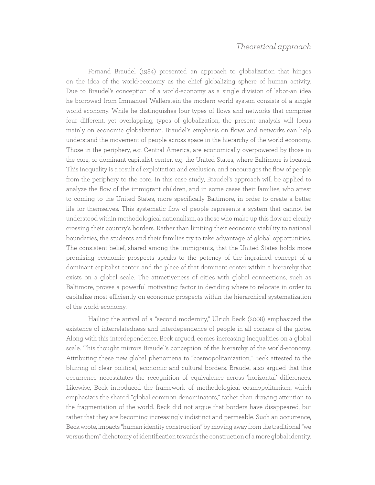### *Theoretical approach*

Fernand Braudel (1984) presented an approach to globalization that hinges on the idea of the world-economy as the chief globalizing sphere of human activity. Due to Braudel's conception of a world-economy as a single division of labor-an idea he borrowed from Immanuel Wallerstein-the modern world system consists of a single world-economy. While he distinguishes four types of flows and networks that comprise four different, yet overlapping, types of globalization, the present analysis will focus mainly on economic globalization. Braudel's emphasis on flows and networks can help understand the movement of people across space in the hierarchy of the world-economy. Those in the periphery, e.g. Central America, are economically overpowered by those in the core, or dominant capitalist center, e.g. the United States, where Baltimore is located. This inequality is a result of exploitation and exclusion, and encourages the flow of people from the periphery to the core. In this case study, Braudel's approach will be applied to analyze the flow of the immigrant children, and in some cases their families, who attest to coming to the United States, more specifically Baltimore, in order to create a better life for themselves. This systematic flow of people represents a system that cannot be understood within methodological nationalism, as those who make up this flow are clearly crossing their country's borders. Rather than limiting their economic viability to national boundaries, the students and their families try to take advantage of global opportunities. The consistent belief, shared among the immigrants, that the United States holds more promising economic prospects speaks to the potency of the ingrained concept of a dominant capitalist center, and the place of that dominant center within a hierarchy that exists on a global scale. The attractiveness of cities with global connections, such as Baltimore, proves a powerful motivating factor in deciding where to relocate in order to capitalize most efficiently on economic prospects within the hierarchical systematization of the world-economy.

Hailing the arrival of a "second modernity," Ulrich Beck (2008) emphasized the existence of interrelatedness and interdependence of people in all corners of the globe. Along with this interdependence, Beck argued, comes increasing inequalities on a global scale. This thought mirrors Braudel's conception of the hierarchy of the world-economy. Attributing these new global phenomena to "cosmopolitanization," Beck attested to the blurring of clear political, economic and cultural borders. Braudel also argued that this occurrence necessitates the recognition of equivalence across 'horizontal' differences. Likewise, Beck introduced the framework of methodological cosmopolitanism, which emphasizes the shared "global common denominators," rather than drawing attention to the fragmentation of the world. Beck did not argue that borders have disappeared, but rather that they are becoming increasingly indistinct and permeable. Such an occurrence, Beck wrote, impacts "human identity construction" by moving away from the traditional "we versus them" dichotomy of identification towards the construction of a more global identity.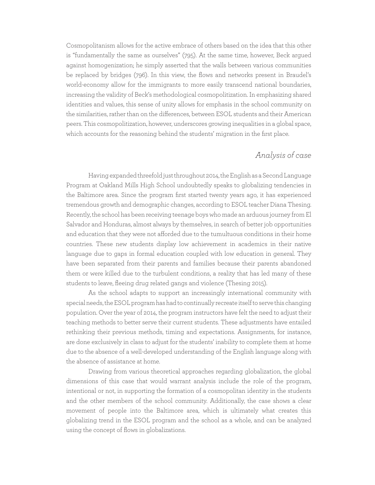Cosmopolitanism allows for the active embrace of others based on the idea that this other is "fundamentally the same as ourselves" (795). At the same time, however, Beck argued against homogenization; he simply asserted that the walls between various communities be replaced by bridges (796). In this view, the flows and networks present in Braudel's world-economy allow for the immigrants to more easily transcend national boundaries, increasing the validity of Beck's methodological cosmopolitization. In emphasizing shared identities and values, this sense of unity allows for emphasis in the school community on the similarities, rather than on the differences, between ESOL students and their American peers. This cosmopolitization, however, underscores growing inequalities in a global space, which accounts for the reasoning behind the students' migration in the first place.

### *Analysis of case*

Having expanded threefold just throughout 2014, the English as a Second Language Program at Oakland Mills High School undoubtedly speaks to globalizing tendencies in the Baltimore area. Since the program first started twenty years ago, it has experienced tremendous growth and demographic changes, according to ESOL teacher Diana Thesing. Recently, the school has been receiving teenage boys who made an arduous journey from El Salvador and Honduras, almost always by themselves, in search of better job opportunities and education that they were not afforded due to the tumultuous conditions in their home countries. These new students display low achievement in academics in their native language due to gaps in formal education coupled with low education in general. They have been separated from their parents and families because their parents abandoned them or were killed due to the turbulent conditions, a reality that has led many of these students to leave, fleeing drug related gangs and violence (Thesing 2015).

As the school adapts to support an increasingly international community with special needs, the ESOL program has had to continually recreate itself to serve this changing population. Over the year of 2014, the program instructors have felt the need to adjust their teaching methods to better serve their current students. These adjustments have entailed rethinking their previous methods, timing and expectations. Assignments, for instance, are done exclusively in class to adjust for the students' inability to complete them at home due to the absence of a well-developed understanding of the English language along with the absence of assistance at home.

Drawing from various theoretical approaches regarding globalization, the global dimensions of this case that would warrant analysis include the role of the program, intentional or not, in supporting the formation of a cosmopolitan identity in the students and the other members of the school community. Additionally, the case shows a clear movement of people into the Baltimore area, which is ultimately what creates this globalizing trend in the ESOL program and the school as a whole, and can be analyzed using the concept of flows in globalizations.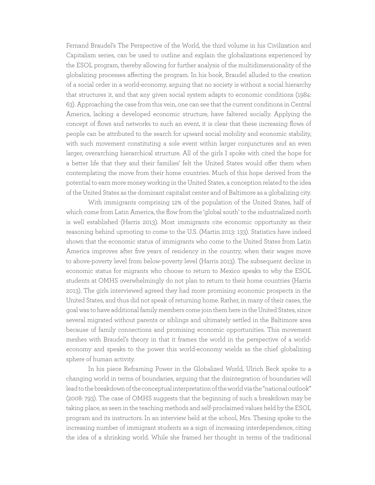Fernand Braudel's The Perspective of the World, the third volume in his Civilization and Capitalism series, can be used to outline and explain the globalizations experienced by the ESOL program, thereby allowing for further analysis of the multidimensionality of the globalizing processes affecting the program. In his book, Braudel alluded to the creation of a social order in a world-economy, arguing that no society is without a social hierarchy that structures it, and that any given social system adapts to economic conditions (1984: 63). Approaching the case from this vein, one can see that the current conditions in Central America, lacking a developed economic structure, have faltered socially. Applying the concept of flows and networks to such an event, it is clear that these increasing flows of people can be attributed to the search for upward social mobility and economic stability, with such movement constituting a sole event within larger conjunctures and an even larger, overarching hierarchical structure. All of the girls I spoke with cited the hope for a better life that they and their families' felt the United States would offer them when contemplating the move from their home countries. Much of this hope derived from the potential to earn more money working in the United States, a conception related to the idea of the United States as the dominant capitalist center and of Baltimore as a globalizing city.

With immigrants comprising 12% of the population of the United States, half of which come from Latin America, the flow from the 'global south' to the industrialized north is well established (Harris 2013). Most immigrants cite economic opportunity as their reasoning behind uprooting to come to the U.S. (Martin 2013: 133). Statistics have indeed shown that the economic status of immigrants who come to the United States from Latin America improves after five years of residency in the country, when their wages move to above-poverty level from below-poverty level (Harris 2013). The subsequent decline in economic status for migrants who choose to return to Mexico speaks to why the ESOL students at OMHS overwhelmingly do not plan to return to their home countries (Harris 2013). The girls interviewed agreed they had more promising economic prospects in the United States, and thus did not speak of returning home. Rather, in many of their cases, the goal was to have additional family members come join them here in the United States, since several migrated without parents or siblings and ultimately settled in the Baltimore area because of family connections and promising economic opportunities. This movement meshes with Braudel's theory in that it frames the world in the perspective of a worldeconomy and speaks to the power this world-economy wields as the chief globalizing sphere of human activity.

In his piece Reframing Power in the Globalized World, Ulrich Beck spoke to a changing world in terms of boundaries, arguing that the disintegration of boundaries will lead to the breakdown of the conceptual interpretation of the world via the "national outlook" (2008: 793). The case of OMHS suggests that the beginning of such a breakdown may be taking place, as seen in the teaching methods and self-proclaimed values held by the ESOL program and its instructors. In an interview held at the school, Mrs. Thesing spoke to the increasing number of immigrant students as a sign of increasing interdependence, citing the idea of a shrinking world. While she framed her thought in terms of the traditional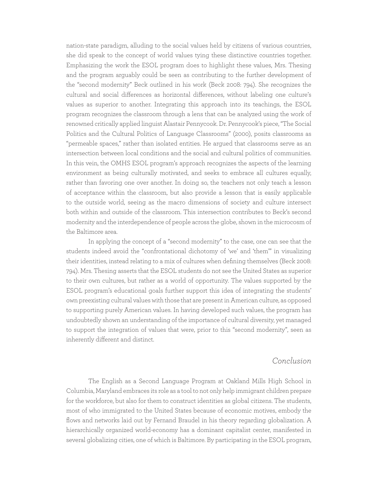nation-state paradigm, alluding to the social values held by citizens of various countries, she did speak to the concept of world values tying these distinctive countries together. Emphasizing the work the ESOL program does to highlight these values, Mrs. Thesing and the program arguably could be seen as contributing to the further development of the "second modernity" Beck outlined in his work (Beck 2008: 794). She recognizes the cultural and social differences as horizontal differences, without labeling one culture's values as superior to another. Integrating this approach into its teachings, the ESOL program recognizes the classroom through a lens that can be analyzed using the work of renowned critically applied linguist Alastair Pennycook. Dr. Pennycook's piece, "The Social Politics and the Cultural Politics of Language Classrooms" (2000), posits classrooms as "permeable spaces," rather than isolated entities. He argued that classrooms serve as an intersection between local conditions and the social and cultural politics of communities. In this vein, the OMHS ESOL program's approach recognizes the aspects of the learning environment as being culturally motivated, and seeks to embrace all cultures equally, rather than favoring one over another. In doing so, the teachers not only teach a lesson of acceptance within the classroom, but also provide a lesson that is easily applicable to the outside world, seeing as the macro dimensions of society and culture intersect both within and outside of the classroom. This intersection contributes to Beck's second modernity and the interdependence of people across the globe, shown in the microcosm of the Baltimore area.

In applying the concept of a "second modernity" to the case, one can see that the students indeed avoid the "confrontational dichotomy of 'we' and 'them'" in visualizing their identities, instead relating to a mix of cultures when defining themselves (Beck 2008: 794). Mrs. Thesing asserts that the ESOL students do not see the United States as superior to their own cultures, but rather as a world of opportunity. The values supported by the ESOL program's educational goals further support this idea of integrating the students' own preexisting cultural values with those that are present in American culture, as opposed to supporting purely American values. In having developed such values, the program has undoubtedly shown an understanding of the importance of cultural diversity, yet managed to support the integration of values that were, prior to this "second modernity", seen as inherently different and distinct.

### *Conclusion*

The English as a Second Language Program at Oakland Mills High School in Columbia, Maryland embraces its role as a tool to not only help immigrant children prepare for the workforce, but also for them to construct identities as global citizens. The students, most of who immigrated to the United States because of economic motives, embody the flows and networks laid out by Fernand Braudel in his theory regarding globalization. A hierarchically organized world-economy has a dominant capitalist center, manifested in several globalizing cities, one of which is Baltimore. By participating in the ESOL program,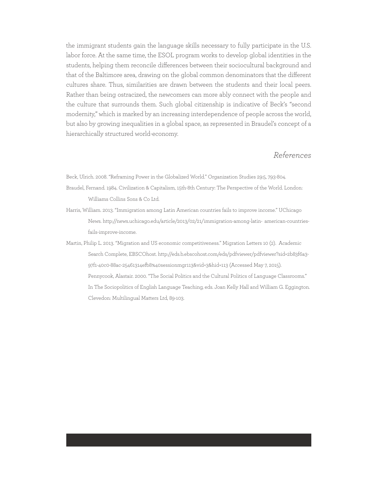the immigrant students gain the language skills necessary to fully participate in the U.S. labor force. At the same time, the ESOL program works to develop global identities in the students, helping them reconcile differences between their sociocultural background and that of the Baltimore area, drawing on the global common denominators that the different cultures share. Thus, similarities are drawn between the students and their local peers. Rather than being ostracized, the newcomers can more ably connect with the people and the culture that surrounds them. Such global citizenship is indicative of Beck's "second modernity," which is marked by an increasing interdependence of people across the world, but also by growing inequalities in a global space, as represented in Braudel's concept of a hierarchically structured world-economy.

### *References*

Beck, Ulrich. 2008. "Reframing Power in the Globalized World." Organization Studies 29:5, 793-804.

Braudel, Fernand. 1984. Civilization & Capitalism, 15th-8th Century: The Perspective of the World. London: Williams Collins Sons & Co Ltd.

- Harris, William. 2013. "Immigration among Latin American countries fails to improve income." UChicago News. http://news.uchicago.edu/article/2013/02/21/immigration-among-latin- american-countriesfails-improve-income.
- Martin, Philip L. 2013. "Migration and US economic competitiveness." Migration Letters 10 (2). Academic Search Complete, EBSCOhost. http://eds.b.ebscohost.com/eds/pdfviewer/pdfviewer?sid=2b83f6a3- 97f1-40c0-88ac-25461314efb8%40sessionmgr113&vid=3&hid=113 (Accessed May 7, 2015). Pennycook, Alastair. 2000. "The Social Politics and the Cultural Politics of Language Classrooms." In The Sociopolitics of English Language Teaching, eds. Joan Kelly Hall and William G. Eggington. Clevedon: Multilingual Matters Ltd, 89-103.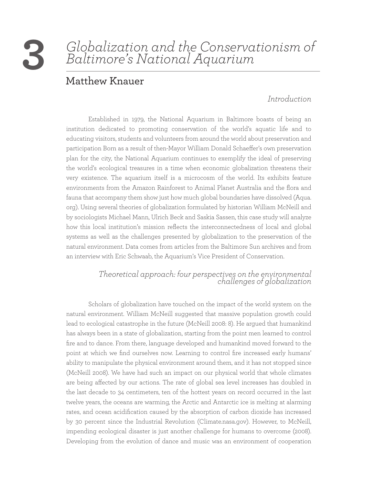# Matthew Knauer

### *Introduction*

Established in 1979, the National Aquarium in Baltimore boasts of being an institution dedicated to promoting conservation of the world's aquatic life and to educating visitors, students and volunteers from around the world about preservation and participation Born as a result of then-Mayor William Donald Schaeffer's own preservation plan for the city, the National Aquarium continues to exemplify the ideal of preserving the world's ecological treasures in a time when economic globalization threatens their very existence. The aquarium itself is a microcosm of the world. Its exhibits feature environments from the Amazon Rainforest to Animal Planet Australia and the flora and fauna that accompany them show just how much global boundaries have dissolved (Aqua. org). Using several theories of globalization formulated by historian William McNeill and by sociologists Michael Mann, Ulrich Beck and Saskia Sassen, this case study will analyze how this local institution's mission reflects the interconnectedness of local and global systems as well as the challenges presented by globalization to the preservation of the natural environment. Data comes from articles from the Baltimore Sun archives and from an interview with Eric Schwaab, the Aquarium's Vice President of Conservation.

# *Theoretical approach: four perspectives on the environmental challenges of globalization*

Scholars of globalization have touched on the impact of the world system on the natural environment. William McNeill suggested that massive population growth could lead to ecological catastrophe in the future (McNeill 2008: 8). He argued that humankind has always been in a state of globalization, starting from the point men learned to control fire and to dance. From there, language developed and humankind moved forward to the point at which we find ourselves now. Learning to control fire increased early humans' ability to manipulate the physical environment around them, and it has not stopped since (McNeill 2008). We have had such an impact on our physical world that whole climates are being affected by our actions. The rate of global sea level increases has doubled in the last decade to 34 centimeters, ten of the hottest years on record occurred in the last twelve years, the oceans are warming, the Arctic and Antarctic ice is melting at alarming rates, and ocean acidification caused by the absorption of carbon dioxide has increased by 30 percent since the Industrial Revolution (Climate.nasa.gov). However, to McNeill, impending ecological disaster is just another challenge for humans to overcome (2008). Developing from the evolution of dance and music was an environment of cooperation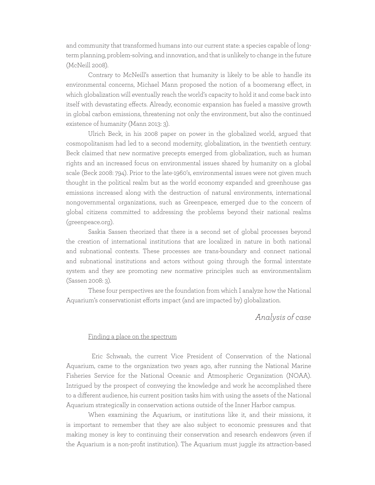and community that transformed humans into our current state: a species capable of longterm planning, problem-solving, and innovation, and that is unlikely to change in the future (McNeill 2008).

Contrary to McNeill's assertion that humanity is likely to be able to handle its environmental concerns, Michael Mann proposed the notion of a boomerang effect, in which globalization will eventually reach the world's capacity to hold it and come back into itself with devastating effects. Already, economic expansion has fueled a massive growth in global carbon emissions, threatening not only the environment, but also the continued existence of humanity (Mann 2013: 3).

Ulrich Beck, in his 2008 paper on power in the globalized world, argued that cosmopolitanism had led to a second modernity, globalization, in the twentieth century. Beck claimed that new normative precepts emerged from globalization, such as human rights and an increased focus on environmental issues shared by humanity on a global scale (Beck 2008: 794). Prior to the late-1960's, environmental issues were not given much thought in the political realm but as the world economy expanded and greenhouse gas emissions increased along with the destruction of natural environments, international nongovernmental organizations, such as Greenpeace, emerged due to the concern of global citizens committed to addressing the problems beyond their national realms (greenpeace.org).

Saskia Sassen theorized that there is a second set of global processes beyond the creation of international institutions that are localized in nature in both national and subnational contexts. These processes are trans-boundary and connect national and subnational institutions and actors without going through the formal interstate system and they are promoting new normative principles such as environmentalism (Sassen 2008: 3).

These four perspectives are the foundation from which I analyze how the National Aquarium's conservationist efforts impact (and are impacted by) globalization.

*Analysis of case*

### Finding a place on the spectrum

 Eric Schwaab, the current Vice President of Conservation of the National Aquarium, came to the organization two years ago, after running the National Marine Fisheries Service for the National Oceanic and Atmospheric Organization (NOAA). Intrigued by the prospect of conveying the knowledge and work he accomplished there to a different audience, his current position tasks him with using the assets of the National Aquarium strategically in conservation actions outside of the Inner Harbor campus.

When examining the Aquarium, or institutions like it, and their missions, it is important to remember that they are also subject to economic pressures and that making money is key to continuing their conservation and research endeavors (even if the Aquarium is a non-profit institution). The Aquarium must juggle its attraction-based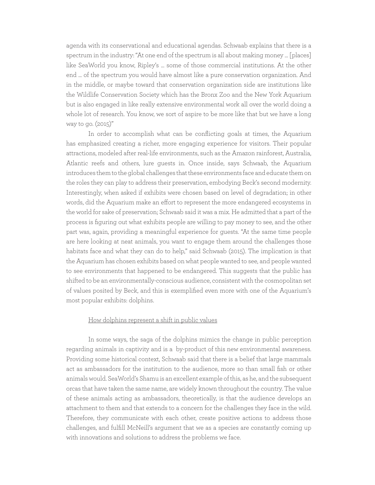agenda with its conservational and educational agendas. Schwaab explains that there is a spectrum in the industry: "At one end of the spectrum is all about making money … [places] like SeaWorld you know, Ripley's ... some of those commercial institutions. At the other end … of the spectrum you would have almost like a pure conservation organization. And in the middle, or maybe toward that conservation organization side are institutions like the Wildlife Conservation Society which has the Bronx Zoo and the New York Aquarium but is also engaged in like really extensive environmental work all over the world doing a whole lot of research. You know, we sort of aspire to be more like that but we have a long way to go. (2015)"

In order to accomplish what can be conflicting goals at times, the Aquarium has emphasized creating a richer, more engaging experience for visitors. Their popular attractions, modeled after real-life environments, such as the Amazon rainforest, Australia, Atlantic reefs and others, lure guests in. Once inside, says Schwaab, the Aquarium introduces them to the global challenges that these environments face and educate them on the roles they can play to address their preservation, embodying Beck's second modernity. Interestingly, when asked if exhibits were chosen based on level of degradation; in other words, did the Aquarium make an effort to represent the more endangered ecosystems in the world for sake of preservation; Schwaab said it was a mix. He admitted that a part of the process is figuring out what exhibits people are willing to pay money to see, and the other part was, again, providing a meaningful experience for guests. "At the same time people are here looking at neat animals, you want to engage them around the challenges those habitats face and what they can do to help," said Schwaab (2015). The implication is that the Aquarium has chosen exhibits based on what people wanted to see, and people wanted to see environments that happened to be endangered. This suggests that the public has shifted to be an environmentally-conscious audience, consistent with the cosmopolitan set of values posited by Beck, and this is exemplified even more with one of the Aquarium's most popular exhibits: dolphins.

### How dolphins represent a shift in public values

In some ways, the saga of the dolphins mimics the change in public perception regarding animals in captivity and is a by-product of this new environmental awareness. Providing some historical context, Schwaab said that there is a belief that large mammals act as ambassadors for the institution to the audience, more so than small fish or other animals would. SeaWorld's Shamu is an excellent example of this, as he, and the subsequent orcas that have taken the same name, are widely known throughout the country. The value of these animals acting as ambassadors, theoretically, is that the audience develops an attachment to them and that extends to a concern for the challenges they face in the wild. Therefore, they communicate with each other, create positive actions to address those challenges, and fulfill McNeill's argument that we as a species are constantly coming up with innovations and solutions to address the problems we face.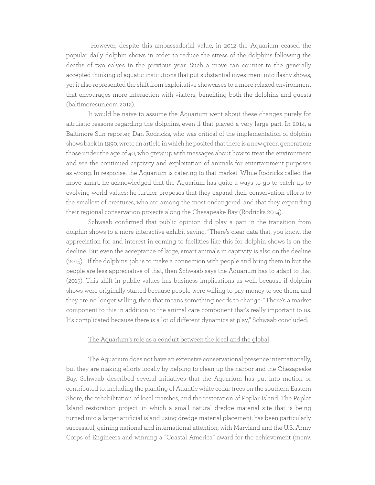However, despite this ambassadorial value, in 2012 the Aquarium ceased the popular daily dolphin shows in order to reduce the stress of the dolphins following the deaths of two calves in the previous year. Such a move ran counter to the generally accepted thinking of aquatic institutions that put substantial investment into flashy shows, yet it also represented the shift from exploitative showcases to a more relaxed environment that encourages more interaction with visitors, benefiting both the dolphins and guests (baltimoresun.com 2012).

It would be naive to assume the Aquarium went about these changes purely for altruistic reasons regarding the dolphins, even if that played a very large part. In 2014, a Baltimore Sun reporter, Dan Rodricks, who was critical of the implementation of dolphin shows back in 1990, wrote an article in which he posited that there is a new green generation: those under the age of 40, who grew up with messages about how to treat the environment and see the continued captivity and exploitation of animals for entertainment purposes as wrong. In response, the Aquarium is catering to that market. While Rodricks called the move smart, he acknowledged that the Aquarium has quite a ways to go to catch up to evolving world values; he further proposes that they expand their conservation efforts to the smallest of creatures, who are among the most endangered, and that they expanding their regional conservation projects along the Chesapeake Bay (Rodricks 2014).

Schwaab confirmed that public opinion did play a part in the transition from dolphin shows to a more interactive exhibit saying, "There's clear data that, you know, the appreciation for and interest in coming to facilities like this for dolphin shows is on the decline. But even the acceptance of large, smart animals in captivity is also on the decline (2015)." If the dolphins' job is to make a connection with people and bring them in but the people are less appreciative of that, then Schwaab says the Aquarium has to adapt to that (2015). This shift in public values has business implications as well, because if dolphin shows were originally started because people were willing to pay money to see them, and they are no longer willing, then that means something needs to change: "There's a market component to this in addition to the animal care component that's really important to us. It's complicated because there is a lot of different dynamics at play," Schwaab concluded.

#### The Aquarium's role as a conduit between the local and the global

The Aquarium does not have an extensive conservational presence internationally, but they are making efforts locally by helping to clean up the harbor and the Chesapeake Bay. Schwaab described several initiatives that the Aquarium has put into motion or contributed to, including the planting of Atlantic white cedar trees on the southern Eastern Shore, the rehabilitation of local marshes, and the restoration of Poplar Island. The Poplar Island restoration project, in which a small natural dredge material site that is being turned into a larger artificial island using dredge material placement, has been particularly successful, gaining national and international attention, with Maryland and the U.S. Army Corps of Engineers and winning a "Coastal America" award for the achievement (menv.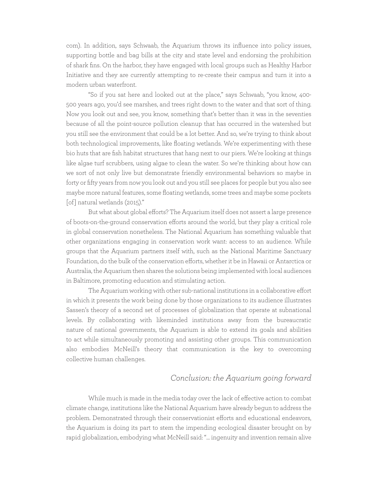com). In addition, says Schwaab, the Aquarium throws its influence into policy issues, supporting bottle and bag bills at the city and state level and endorsing the prohibition of shark fins. On the harbor, they have engaged with local groups such as Healthy Harbor Initiative and they are currently attempting to re-create their campus and turn it into a modern urban waterfront.

"So if you sat here and looked out at the place," says Schwaab, "you know, 400- 500 years ago, you'd see marshes, and trees right down to the water and that sort of thing. Now you look out and see, you know, something that's better than it was in the seventies because of all the point-source pollution cleanup that has occurred in the watershed but you still see the environment that could be a lot better. And so, we're trying to think about both technological improvements, like floating wetlands. We're experimenting with these bio huts that are fish habitat structures that hang next to our piers. We're looking at things like algae turf scrubbers, using algae to clean the water. So we're thinking about how can we sort of not only live but demonstrate friendly environmental behaviors so maybe in forty or fifty years from now you look out and you still see places for people but you also see maybe more natural features, some floating wetlands, some trees and maybe some pockets [of] natural wetlands (2015)."

But what about global efforts? The Aquarium itself does not assert a large presence of boots-on-the-ground conservation efforts around the world, but they play a critical role in global conservation nonetheless. The National Aquarium has something valuable that other organizations engaging in conservation work want: access to an audience. While groups that the Aquarium partners itself with, such as the National Maritime Sanctuary Foundation, do the bulk of the conservation efforts, whether it be in Hawaii or Antarctica or Australia, the Aquarium then shares the solutions being implemented with local audiences in Baltimore, promoting education and stimulating action.

The Aquarium working with other sub-national institutions in a collaborative effort in which it presents the work being done by those organizations to its audience illustrates Sassen's theory of a second set of processes of globalization that operate at subnational levels. By collaborating with likeminded institutions away from the bureaucratic nature of national governments, the Aquarium is able to extend its goals and abilities to act while simultaneously promoting and assisting other groups. This communication also embodies McNeill's theory that communication is the key to overcoming collective human challenges.

### *Conclusion: the Aquarium going forward*

While much is made in the media today over the lack of effective action to combat climate change, institutions like the National Aquarium have already begun to address the problem. Demonstrated through their conservationist efforts and educational endeavors, the Aquarium is doing its part to stem the impending ecological disaster brought on by rapid globalization, embodying what McNeill said: "… ingenuity and invention remain alive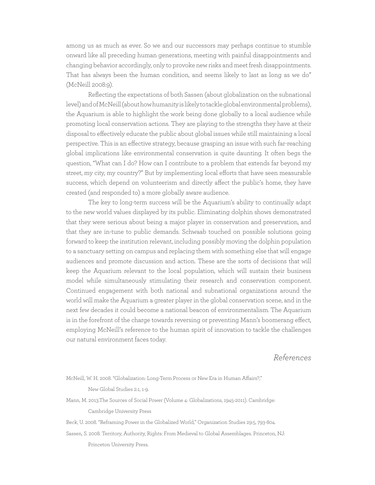among us as much as ever. So we and our successors may perhaps continue to stumble onward like all preceding human generations, meeting with painful disappointments and changing behavior accordingly, only to provoke new risks and meet fresh disappointments. That has always been the human condition, and seems likely to last as long as we do" (McNeill 2008:9).

Reflecting the expectations of both Sassen (about globalization on the subnational level) and of McNeill (about how humanity is likely to tackle global environmental problems), the Aquarium is able to highlight the work being done globally to a local audience while promoting local conservation actions. They are playing to the strengths they have at their disposal to effectively educate the public about global issues while still maintaining a local perspective. This is an effective strategy, because grasping an issue with such far-reaching global implications like environmental conservation is quite daunting. It often begs the question, "What can I do? How can I contribute to a problem that extends far beyond my street, my city, my country?" But by implementing local efforts that have seen measurable success, which depend on volunteerism and directly affect the public's home, they have created (and responded to) a more globally aware audience.

The key to long-term success will be the Aquarium's ability to continually adapt to the new world values displayed by its public. Eliminating dolphin shows demonstrated that they were serious about being a major player in conservation and preservation, and that they are in-tune to public demands. Schwaab touched on possible solutions going forward to keep the institution relevant, including possibly moving the dolphin population to a sanctuary setting on campus and replacing them with something else that will engage audiences and promote discussion and action. These are the sorts of decisions that will keep the Aquarium relevant to the local population, which will sustain their business model while simultaneously stimulating their research and conservation component. Continued engagement with both national and subnational organizations around the world will make the Aquarium a greater player in the global conservation scene, and in the next few decades it could become a national beacon of environmentalism. The Aquarium is in the forefront of the charge towards reversing or preventing Mann's boomerang effect, employing McNeill's reference to the human spirit of innovation to tackle the challenges our natural environment faces today.

*References*

New Global Studies 2:1, 1-9.

Mann, M. 2013.The Sources of Social Power (Volume 4: Globalizations, 1945-2011). Cambridge: Cambridge University Press

Beck, U. 2008. "Reframing Power in the Globalized World," Organization Studies 29:5, 793-804.

Sassen, S. 2008. Territory, Authority, Rights: From Medieval to Global Assemblages. Princeton, NJ: Princeton University Press.

McNeill, W. H. 2008. "Globalization: Long-Term Process or New Era in Human Affairs?,"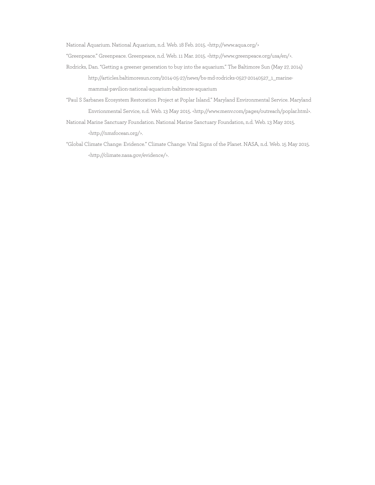National Aquarium. National Aquarium, n.d. Web. 18 Feb. 2015. <http://www.aqua.org/>

"Greenpeace." Greenpeace. Greenpeace, n.d. Web. 11 Mar. 2015. <http://www.greenpeace.org/usa/en/>.

- Rodricks, Dan. "Getting a greener generation to buy into the aquarium." The Baltimore Sun (May 27, 2014) http://articles.baltimoresun.com/2014-05-27/news/bs-md-rodricks-0527-20140527\_1\_marinemammal-pavilion-national-aquarium-baltimore-aquarium
- "Paul S Sarbanes Ecosystem Restoration Project at Poplar Island." Maryland Environmental Service. Maryland Envrionmental Service, n.d. Web. 13 May 2015. <http://www.menv.com/pages/outreach/poplar.html>.
- National Marine Sanctuary Foundation. National Marine Sanctuary Foundation, n.d. Web. 13 May 2015. <http://nmsfocean.org/>.
- "Global Climate Change: Evidence." Climate Change: Vital Signs of the Planet. NASA, n.d. Web. 15 May 2015. <http://climate.nasa.gov/evidence/>.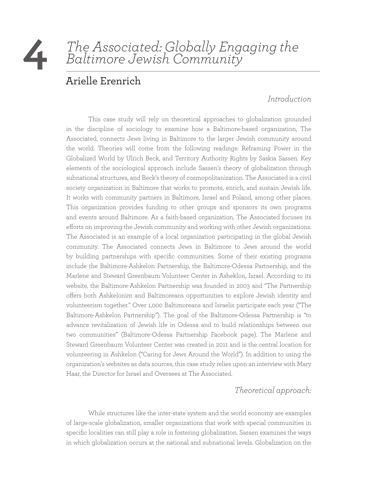# **4** *The Associated: Globally Engaging the Baltimore Jewish Community*

# Arielle Erenrich

### *Introduction*

This case study will rely on theoretical approaches to globalization grounded in the discipline of sociology to examine how a Baltimore-based organization, The Associated, connects Jews living in Baltimore to the larger Jewish community around the world. Theories will come from the following readings: Reframing Power in the Globalized World by Ulrich Beck, and Territory Authority Rights by Saskia Sassen. Key elements of the sociological approach include Sassen's theory of globalization through subnational structures, and Beck's theory of cosmopolitanization. The Associated is a civil society organization in Baltimore that works to promote, enrich, and sustain Jewish life. It works with community partners in Baltimore, Israel and Poland, among other places. This organization provides funding to other groups and sponsors its own programs and events around Baltimore. As a faith-based organization, The Associated focuses its efforts on improving the Jewish community and working with other Jewish organizations. The Associated is an example of a local organization participating in the global Jewish community. The Associated connects Jews in Baltimore to Jews around the world by building partnerships with specific communities. Some of their existing programs include the Baltimore-Ashkelon Partnership, the Baltimore-Odessa Partnership, and the Marlene and Steward Greenbaum Volunteer Center in Asheklon, Israel. According to its website, the Baltimore-Ashkelon Partnership was founded in 2003 and "The Partnership offers both Ashkelonim and Baltimoreans opportunities to explore Jewish identity and volunteerism together." Over 1,000 Baltimoreans and Israelis participate each year ("The Baltimore-Ashkelon Partnership"). The goal of the Baltimore-Odessa Partnership is "to advance revitalization of Jewish life in Odessa and to build relationships between our two communities" (Baltimore-Odessa Partnership Facebook page). The Marlene and Steward Greenbaum Volunteer Center was created in 2011 and is the central location for volunteering in Ashkelon ("Caring for Jews Around the World"). In addition to using the organization's websites as data sources, this case study relies upon an interview with Mary Haar, the Director for Israel and Oversees at The Associated.

### *Theoretical approach:*

While structures like the inter-state system and the world economy are examples of large-scale globalization, smaller organizations that work with special communities in specific localities can still play a role in fostering globalization. Sassen examines the ways in which globalization occurs at the national and subnational levels. Globalization on the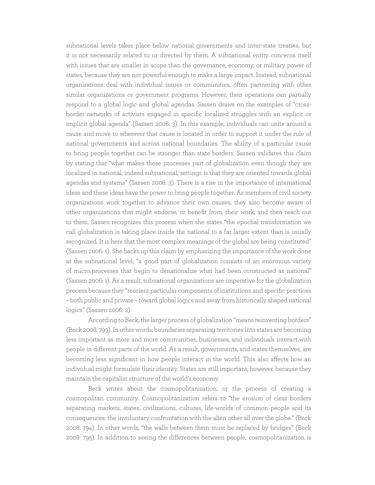subnational levels takes place below national governments and inter-state treaties, but it is not necessarily related to or directed by them. A subnational entity concerns itself with issues that are smaller in scope than the governance, economy, or military power of states, because they are not powerful enough to make a large impact. Instead, subnational organizations deal with individual issues or communities, often partnering with other similar organizations or government programs. However, their operations can partially respond to a global logic and global agendas. Sassen draws on the examples of "crossborder networks of activists engaged in specific localized struggles with an explicit or implicit global agenda" (Sassen 2006: 3). In this example, individuals can unite around a cause and move to wherever that cause is located in order to support it under the rule of national governments and across national boundaries. The ability of a particular cause to bring people together can be stronger than state borders. Sassen validates this claim by stating that "what makes these processes part of globalization even though they are localized in national, indeed subnational, settings is that they are oriented towards global agendas and systems" (Sassen 2006: 3). There is a rise in the importance of international ideas and these ideas have the power to bring people together. As members of civil society organizations work together to advance their own causes, they also become aware of other organizations that might endorse, or benefit from, their work, and then reach out to them. Sassen recognizes this process when she states "the epochal transformation we call globalization is taking place inside the national to a far larger extent than is usually recognized. It is here that the most complex meanings of the global are being constituted" (Sassen 2006: 1). She backs up this claim by emphasizing the importance of the work done at the subnational level; "a good part of globalization consists of an enormous variety of micro-processes that begin to denationalize what had been constructed as national" (Sassen 2006: 1). As a result, subnational organizations are imperative for the globalization process because they "reorient particular components of institutions and specific practices – both public and private – toward global logics and away from historically shaped national logics" (Sassen 2006: 2).

According to Beck, the larger process of globalization "means reinventing borders" (Beck 2008: 799). In other words, boundaries separating territories into states are becoming less important as more and more communities, businesses, and individuals interact with people in different parts of the world. As a result, governments, and states themselves, are becoming less significant in how people interact in the world. This also affects how an individual might formulate their identity. States are still important, however, because they maintain the capitalist structure of the world's economy.

Beck writes about the cosmopolitanization, or the process of creating a cosmopolitan community. Cosmopolitanization refers to "the erosion of clear borders separating markets, states, civilizations, cultures, life-worlds of common people and its consequences: the involuntary confrontation with the alien other all over the globe." (Beck 2008: 794). In other words, "the walls between them must be replaced by bridges" (Beck 2008: 795). In addition to seeing the differences between people, cosmopolitanization is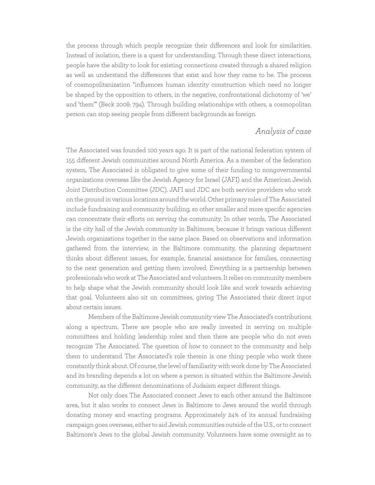the process through which people recognize their differences and look for similarities. Instead of isolation, there is a quest for understanding. Through these direct interactions, people have the ability to look for existing connections created through a shared religion as well as understand the differences that exist and how they came to be. The process of cosmopolitanization "influences human identity construction which need no longer be shaped by the opposition to others, in the negative, confrontational dichotomy of 'we' and 'them'" (Beck 2008: 794). Through building relationships with others, a cosmopolitan person can stop seeing people from different backgrounds as foreign.

### *Analysis of case*

The Associated was founded 100 years ago. It is part of the national federation system of 155 different Jewish communities around North America. As a member of the federation system, The Associated is obligated to give some of their funding to nongovernmental organizations overseas like the Jewish Agency for Israel (JAFI) and the American Jewish Joint Distribution Committee (JDC). JAFI and JDC are both service providers who work on the ground in various locations around the world. Other primary roles of The Associated include fundraising and community building, so other smaller and more specific agencies can concentrate their efforts on serving the community. In other words, The Associated is the city hall of the Jewish community in Baltimore, because it brings various different Jewish organizations together in the same place. Based on observations and information gathered from the interview, in the Baltimore community, the planning department thinks about different issues, for example, financial assistance for families, connecting to the next generation and getting them involved. Everything is a partnership between professionals who work at The Associated and volunteers. It relies on community members to help shape what the Jewish community should look like and work towards achieving that goal. Volunteers also sit on committees, giving The Associated their direct input about certain issues.

Members of the Baltimore Jewish community view The Associated's contributions along a spectrum. There are people who are really invested in serving on multiple committees and holding leadership roles and then there are people who do not even recognize The Associated. The question of how to connect to the community and help them to understand The Associated's role therein is one thing people who work there constantly think about. Of course, the level of familiarity with work done by The Associated and its branding depends a lot on where a person is situated within the Baltimore Jewish community, as the different denominations of Judaism expect different things.

Not only does The Associated connect Jews to each other around the Baltimore area, but it also works to connect Jews in Baltimore to Jews around the world through donating money and enacting programs. Approximately 24% of its annual fundraising campaign goes overseas, either to aid Jewish communities outside of the U.S., or to connect Baltimore's Jews to the global Jewish community. Volunteers have some oversight as to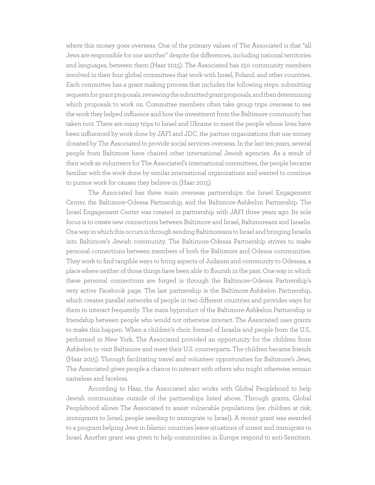where this money goes overseas. One of the primary values of The Associated is that "all Jews are responsible for one another" despite the differences, including national territories and languages, between them (Haar 2015). The Associated has 250 community members involved in their four global committees that work with Israel, Poland, and other countries. Each committee has a grant making process that includes the following steps: submitting requests for grant proposals, reviewing the submitted grant proposals, and then determining which proposals to work on. Committee members often take group trips overseas to see the work they helped influence and how the investment from the Baltimore community has taken root. There are many trips to Israel and Ukraine to meet the people whose lives have been influenced by work done by JAFI and JDC, the partner organizations that use money donated by The Associated to provide social services overseas. In the last ten years, several people from Baltimore have chaired other international Jewish agencies. As a result of their work as volunteers for The Associated's international committees, the people became familiar with the work done by similar international organizations and wanted to continue to pursue work for causes they believe in (Haar 2015).

The Associated has three main overseas partnerships: the Israel Engagement Center, the Baltimore-Odessa Partnership, and the Baltimore-Ashkelon Partnership. The Israel Engagement Center was created in partnership with JAFI three years ago. Its sole focus is to create new connections between Baltimore and Israel, Baltimoreans and Israelis. One way in which this occurs is through sending Baltimoreans to Israel and bringing Israelis into Baltimore's Jewish community. The Baltimore-Odessa Partnership strives to make personal connections between members of both the Baltimore and Odessa communities. They work to find tangible ways to bring aspects of Judaism and community to Odesssa, a place where neither of those things have been able to flourish in the past. One way in which these personal connections are forged is through the Baltimore-Odessa Partnership's very active Facebook page. The last partnership is the Baltimore-Ashkelon Partnership, which creates parallel networks of people in two different countries and provides ways for them to interact frequently. The main byproduct of the Baltimore-Ashkelon Partnership is friendship between people who would not otherwise interact. The Associated uses grants to make this happen. When a children's choir, formed of Israelis and people from the U.S., performed in New York, The Associated provided an opportunity for the children from Ashkelon to visit Baltimore and meet their U.S. counterparts. The children became friends (Haar 2015). Through facilitating travel and volunteer opportunities for Baltimore's Jews, The Associated gives people a chance to interact with others who might otherwise remain nameless and faceless.

According to Haar, the Associated also works with Global Peoplehood to help Jewish communities outside of the partnerships listed above. Through grants, Global Peoplehood allows The Associated to assist vulnerable populations (ex: children at risk, immigrants to Israel, people needing to immigrate to Israel). A recent grant was awarded to a program helping Jews in Islamic countries leave situations of unrest and immigrate to Israel. Another grant was given to help communities in Europe respond to anti-Semitism.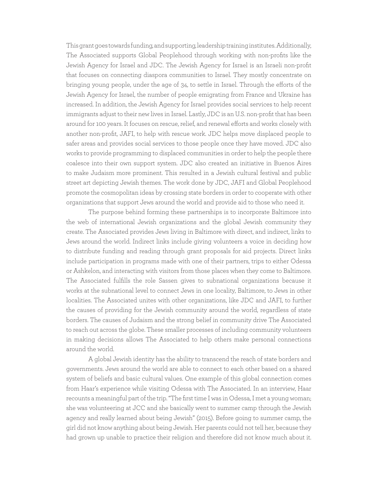This grant goes towards funding, and supporting, leadership training institutes. Additionally, The Associated supports Global Peoplehood through working with non-profits like the Jewish Agency for Israel and JDC. The Jewish Agency for Israel is an Israeli non-profit that focuses on connecting diaspora communities to Israel. They mostly concentrate on bringing young people, under the age of 34, to settle in Israel. Through the efforts of the Jewish Agency for Israel, the number of people emigrating from France and Ukraine has increased. In addition, the Jewish Agency for Israel provides social services to help recent immigrants adjust to their new lives in Israel. Lastly, JDC is an U.S. non-profit that has been around for 100 years. It focuses on rescue, relief, and renewal efforts and works closely with another non-profit, JAFI, to help with rescue work. JDC helps move displaced people to safer areas and provides social services to those people once they have moved. JDC also works to provide programming to displaced communities in order to help the people there coalesce into their own support system. JDC also created an initiative in Buenos Aires to make Judaism more prominent. This resulted in a Jewish cultural festival and public street art depicting Jewish themes. The work done by JDC, JAFI and Global Peoplehood promote the cosmopolitan ideas by crossing state borders in order to cooperate with other organizations that support Jews around the world and provide aid to those who need it.

The purpose behind forming these partnerships is to incorporate Baltimore into the web of international Jewish organizations and the global Jewish community they create. The Associated provides Jews living in Baltimore with direct, and indirect, links to Jews around the world. Indirect links include giving volunteers a voice in deciding how to distribute funding and reading through grant proposals for aid projects. Direct links include participation in programs made with one of their partners, trips to either Odessa or Ashkelon, and interacting with visitors from those places when they come to Baltimore. The Associated fulfills the role Sassen gives to subnational organizations because it works at the subnational level to connect Jews in one locality, Baltimore, to Jews in other localities. The Associated unites with other organizations, like JDC and JAFI, to further the causes of providing for the Jewish community around the world, regardless of state borders. The causes of Judaism and the strong belief in community drive The Associated to reach out across the globe. These smaller processes of including community volunteers in making decisions allows The Associated to help others make personal connections around the world.

A global Jewish identity has the ability to transcend the reach of state borders and governments. Jews around the world are able to connect to each other based on a shared system of beliefs and basic cultural values. One example of this global connection comes from Haar's experience while visiting Odessa with The Associated. In an interview, Haar recounts a meaningful part of the trip. "The first time I was in Odessa, I met a young woman; she was volunteering at JCC and she basically went to summer camp through the Jewish agency and really learned about being Jewish" (2015). Before going to summer camp, the girl did not know anything about being Jewish. Her parents could not tell her, because they had grown up unable to practice their religion and therefore did not know much about it.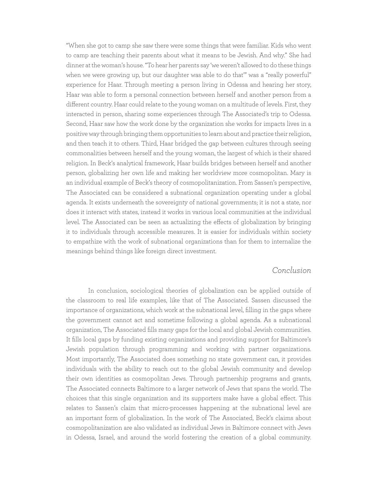"When she got to camp she saw there were some things that were familiar. Kids who went to camp are teaching their parents about what it means to be Jewish. And why." She had dinner at the woman's house. "To hear her parents say 'we weren't allowed to do these things when we were growing up, but our daughter was able to do that'" was a "really powerful" experience for Haar. Through meeting a person living in Odessa and hearing her story, Haar was able to form a personal connection between herself and another person from a different country. Haar could relate to the young woman on a multitude of levels. First, they interacted in person, sharing some experiences through The Associated's trip to Odessa. Second, Haar saw how the work done by the organization she works for impacts lives in a positive way through bringing them opportunities to learn about and practice their religion, and then teach it to others. Third, Haar bridged the gap between cultures through seeing commonalities between herself and the young woman, the largest of which is their shared religion. In Beck's analytical framework, Haar builds bridges between herself and another person, globalizing her own life and making her worldview more cosmopolitan. Mary is an individual example of Beck's theory of cosmopolitanization. From Sassen's perspective, The Associated can be considered a subnational organization operating under a global agenda. It exists underneath the sovereignty of national governments; it is not a state, nor does it interact with states, instead it works in various local communities at the individual level. The Associated can be seen as actualizing the effects of globalization by bringing it to individuals through accessible measures. It is easier for individuals within society to empathize with the work of subnational organizations than for them to internalize the meanings behind things like foreign direct investment.

### *Conclusion*

In conclusion, sociological theories of globalization can be applied outside of the classroom to real life examples, like that of The Associated. Sassen discussed the importance of organizations, which work at the subnational level, filling in the gaps where the government cannot act and sometime following a global agenda. As a subnational organization, The Associated fills many gaps for the local and global Jewish communities. It fills local gaps by funding existing organizations and providing support for Baltimore's Jewish population through programming and working with partner organizations. Most importantly, The Associated does something no state government can, it provides individuals with the ability to reach out to the global Jewish community and develop their own identities as cosmopolitan Jews. Through partnership programs and grants, The Associated connects Baltimore to a larger network of Jews that spans the world. The choices that this single organization and its supporters make have a global effect. This relates to Sassen's claim that micro-processes happening at the subnational level are an important form of globalization. In the work of The Associated, Beck's claims about cosmopolitanization are also validated as individual Jews in Baltimore connect with Jews in Odessa, Israel, and around the world fostering the creation of a global community.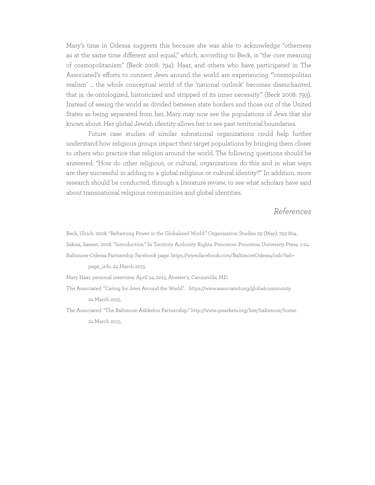Mary's time in Odessa suggests this because she was able to acknowledge "otherness as at the same time different and equal," which, according to Beck, is "the core meaning of cosmopolitanism" (Beck 2008: 794). Haar, and others who have participated in The Associated's efforts to connect Jews around the world are experiencing "'cosmopolitan realism' … the whole conceptual world of the 'national outlook' becomes disenchanted, that is, de-ontologized, historicized and stripped of its inner necessity." (Beck 2008: 793). Instead of seeing the world as divided between state borders and those out of the United States as being separated from her, Mary may now see the populations of Jews that she knows about. Her global Jewish identity allows her to see past territorial boundaries.

Future case studies of similar subnational organizations could help further understand how religious groups impact their target populations by bringing them closer to others who practice that religion around the world. The following questions should be answered: "How do other religious, or cultural, organizations do this and in what ways are they successful in adding to a global religious or cultural identity?" In addition, more research should be conducted, through a literature review, to see what scholars have said about transnational religious communities and global identities.

### *References*

Beck, Ulrich. 2008. "Reframing Power in the Globalized World." Organization Studies 29 (May): 793-804. Saksia, Sassen. 2008. "Introduction." In Territory Authority Rights. Princeton: Princeton University Press, 1-24. Baltimore-Odessa Partnership Facebook page. https://www.facebook.com/BaltimoreOdessa/info?tab=

page\_info. 24 March 2015.

Mary Haar, personal interview, April 24, 2015, Atwater's, Catonsville, MD.

The Associated. "Caring for Jews Around the World". https://www.associated.org/globalcommunity. 24 March 2015.

The Associated. "The Baltimore-Ashkelon Partnership." http://www.qmarkets.org/live/baltimore/home. 24 March 2015.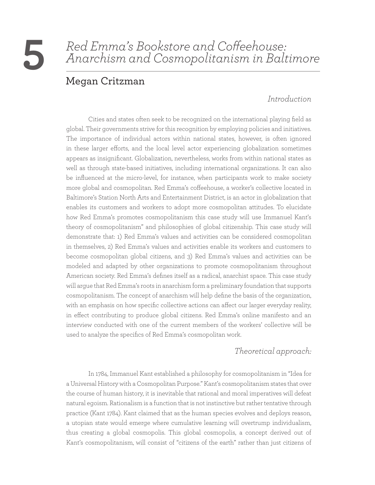# **5** *Red Emma's Bookstore and Coffeehouse: Anarchism and Cosmopolitanism in Baltimore*

### Megan Critzman

### *Introduction*

Cities and states often seek to be recognized on the international playing field as global. Their governments strive for this recognition by employing policies and initiatives. The importance of individual actors within national states, however, is often ignored in these larger efforts, and the local level actor experiencing globalization sometimes appears as insignificant. Globalization, nevertheless, works from within national states as well as through state-based initiatives, including international organizations. It can also be influenced at the micro-level, for instance, when participants work to make society more global and cosmopolitan. Red Emma's coffeehouse, a worker's collective located in Baltimore's Station North Arts and Entertainment District, is an actor in globalization that enables its customers and workers to adopt more cosmopolitan attitudes. To elucidate how Red Emma's promotes cosmopolitanism this case study will use Immanuel Kant's theory of cosmopolitanism" and philosophies of global citizenship. This case study will demonstrate that: 1) Red Emma's values and activities can be considered cosmopolitan in themselves, 2) Red Emma's values and activities enable its workers and customers to become cosmopolitan global citizens, and 3) Red Emma's values and activities can be modeled and adapted by other organizations to promote cosmopolitanism throughout American society. Red Emma's defines itself as a radical, anarchist space. This case study will argue that Red Emma's roots in anarchism form a preliminary foundation that supports cosmopolitanism. The concept of anarchism will help define the basis of the organization, with an emphasis on how specific collective actions can affect our larger everyday reality, in effect contributing to produce global citizens. Red Emma's online manifesto and an interview conducted with one of the current members of the workers' collective will be used to analyze the specifics of Red Emma's cosmopolitan work.

### *Theoretical approach:*

In 1784, Immanuel Kant established a philosophy for cosmopolitanism in "Idea for a Universal History with a Cosmopolitan Purpose." Kant's cosmopolitanism states that over the course of human history, it is inevitable that rational and moral imperatives will defeat natural egoism. Rationalism is a function that is not instinctive but rather tentative through practice (Kant 1784). Kant claimed that as the human species evolves and deploys reason, a utopian state would emerge where cumulative learning will overtrump individualism, thus creating a global cosmopolis. This global cosmopolis, a concept derived out of Kant's cosmopolitanism, will consist of "citizens of the earth" rather than just citizens of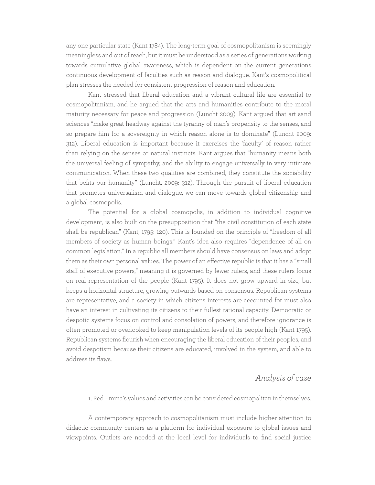any one particular state (Kant 1784). The long-term goal of cosmopolitanism is seemingly meaningless and out of reach, but it must be understood as a series of generations working towards cumulative global awareness, which is dependent on the current generations continuous development of faculties such as reason and dialogue. Kant's cosmopolitical plan stresses the needed for consistent progression of reason and education.

Kant stressed that liberal education and a vibrant cultural life are essential to cosmopolitanism, and he argued that the arts and humanities contribute to the moral maturity necessary for peace and progression (Luncht 2009). Kant argued that art sand sciences "make great headway against the tyranny of man's propensity to the senses, and so prepare him for a sovereignty in which reason alone is to dominate" (Luncht 2009: 312). Liberal education is important because it exercises the 'faculty' of reason rather than relying on the senses or natural instincts. Kant argues that "humanity means both the universal feeling of sympathy, and the ability to engage universally in very intimate communication. When these two qualities are combined, they constitute the sociability that befits our humanity" (Luncht, 2009: 312). Through the pursuit of liberal education that promotes universalism and dialogue, we can move towards global citizenship and a global cosmopolis.

The potential for a global cosmopolis, in addition to individual cognitive development, is also built on the presupposition that "the civil constitution of each state shall be republican" (Kant, 1795: 120). This is founded on the principle of "freedom of all members of society as human beings." Kant's idea also requires "dependence of all on common legislation." In a republic all members should have consensus on laws and adopt them as their own personal values. The power of an effective republic is that it has a "small staff of executive powers," meaning it is governed by fewer rulers, and these rulers focus on real representation of the people (Kant 1795). It does not grow upward in size, but keeps a horizontal structure, growing outwards based on consensus. Republican systems are representative, and a society in which citizens interests are accounted for must also have an interest in cultivating its citizens to their fullest rational capacity. Democratic or despotic systems focus on control and consolation of powers, and therefore ignorance is often promoted or overlooked to keep manipulation levels of its people high (Kant 1795). Republican systems flourish when encouraging the liberal education of their peoples, and avoid despotism because their citizens are educated, involved in the system, and able to address its flaws.

### *Analysis of case*

### 1. Red Emma's values and activities can be considered cosmopolitan in themselves.

A contemporary approach to cosmopolitanism must include higher attention to didactic community centers as a platform for individual exposure to global issues and viewpoints. Outlets are needed at the local level for individuals to find social justice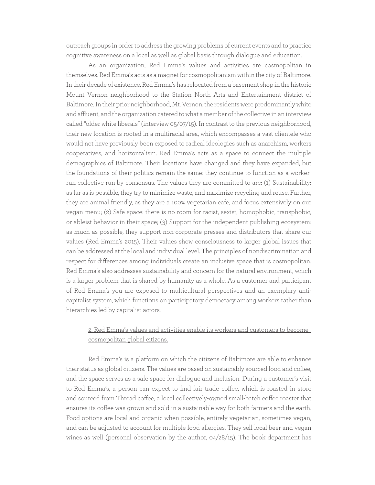outreach groups in order to address the growing problems of current events and to practice cognitive awareness on a local as well as global basis through dialogue and education.

As an organization, Red Emma's values and activities are cosmopolitan in themselves. Red Emma's acts as a magnet for cosmopolitanism within the city of Baltimore. In their decade of existence, Red Emma's has relocated from a basement shop in the historic Mount Vernon neighborhood to the Station North Arts and Entertainment district of Baltimore. In their prior neighborhood, Mt. Vernon, the residents were predominantly white and affluent, and the organization catered to what a member of the collective in an interview called "older white liberals" (interview 05/07/15). In contrast to the previous neighborhood, their new location is rooted in a multiracial area, which encompasses a vast clientele who would not have previously been exposed to radical ideologies such as anarchism, workers cooperatives, and horizontalism. Red Emma's acts as a space to connect the multiple demographics of Baltimore. Their locations have changed and they have expanded, but the foundations of their politics remain the same: they continue to function as a workerrun collective run by consensus. The values they are committed to are: (1) Sustainability: as far as is possible, they try to minimize waste, and maximize recycling and reuse. Further, they are animal friendly, as they are a 100% vegetarian cafe, and focus extensively on our vegan menu; (2) Safe space: there is no room for racist, sexist, homophobic, transphobic, or ableist behavior in their space; (3) Support for the independent publishing ecosystem: as much as possible, they support non-corporate presses and distributors that share our values (Red Emma's 2015). Their values show consciousness to larger global issues that can be addressed at the local and individual level. The principles of nondiscrimination and respect for differences among individuals create an inclusive space that is cosmopolitan. Red Emma's also addresses sustainability and concern for the natural environment, which is a larger problem that is shared by humanity as a whole. As a customer and participant of Red Emma's you are exposed to multicultural perspectives and an exemplary anticapitalist system, which functions on participatory democracy among workers rather than hierarchies led by capitalist actors.

### 2. Red Emma's values and activities enable its workers and customers to become cosmopolitan global citizens.

Red Emma's is a platform on which the citizens of Baltimore are able to enhance their status as global citizens. The values are based on sustainably sourced food and coffee, and the space serves as a safe space for dialogue and inclusion. During a customer's visit to Red Emma's, a person can expect to find fair trade coffee, which is roasted in store and sourced from Thread coffee, a local collectively-owned small-batch coffee roaster that ensures its coffee was grown and sold in a sustainable way for both farmers and the earth. Food options are local and organic when possible, entirely vegetarian, sometimes vegan, and can be adjusted to account for multiple food allergies. They sell local beer and vegan wines as well (personal observation by the author, 04/28/15). The book department has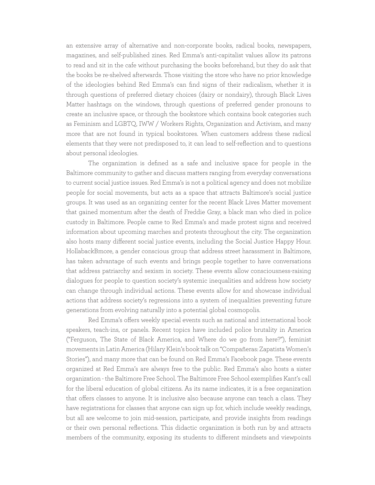an extensive array of alternative and non-corporate books, radical books, newspapers, magazines, and self-published zines. Red Emma's anti-capitalist values allow its patrons to read and sit in the cafe without purchasing the books beforehand, but they do ask that the books be re-shelved afterwards. Those visiting the store who have no prior knowledge of the ideologies behind Red Emma's can find signs of their radicalism, whether it is through questions of preferred dietary choices (dairy or nondairy), through Black Lives Matter hashtags on the windows, through questions of preferred gender pronouns to create an inclusive space, or through the bookstore which contains book categories such as Feminism and LGBTQ, IWW / Workers Rights, Organization and Activism, and many more that are not found in typical bookstores. When customers address these radical elements that they were not predisposed to, it can lead to self-reflection and to questions about personal ideologies.

The organization is defined as a safe and inclusive space for people in the Baltimore community to gather and discuss matters ranging from everyday conversations to current social justice issues. Red Emma's is not a political agency and does not mobilize people for social movements, but acts as a space that attracts Baltimore's social justice groups. It was used as an organizing center for the recent Black Lives Matter movement that gained momentum after the death of Freddie Gray, a black man who died in police custody in Baltimore. People came to Red Emma's and made protest signs and received information about upcoming marches and protests throughout the city. The organization also hosts many different social justice events, including the Social Justice Happy Hour. HollabackBmore, a gender conscious group that address street harassment in Baltimore, has taken advantage of such events and brings people together to have conversations that address patriarchy and sexism in society. These events allow consciousness-raising dialogues for people to question society's systemic inequalities and address how society can change through individual actions. These events allow for and showcase individual actions that address society's regressions into a system of inequalities preventing future generations from evolving naturally into a potential global cosmopolis.

Red Emma's offers weekly special events such as national and international book speakers, teach-ins, or panels. Recent topics have included police brutality in America ("Ferguson, The State of Black America, and Where do we go from here?"), feminist movements in Latin America (Hilary Klein's book talk on "Compañeras: Zapatista Women's Stories"), and many more that can be found on Red Emma's Facebook page. These events organized at Red Emma's are always free to the public. Red Emma's also hosts a sister organization - the Baltimore Free School. The Baltimore Free School exemplifies Kant's call for the liberal education of global citizens. As its name indicates, it is a free organization that offers classes to anyone. It is inclusive also because anyone can teach a class. They have registrations for classes that anyone can sign up for, which include weekly readings, but all are welcome to join mid-session, participate, and provide insights from readings or their own personal reflections. This didactic organization is both run by and attracts members of the community, exposing its students to different mindsets and viewpoints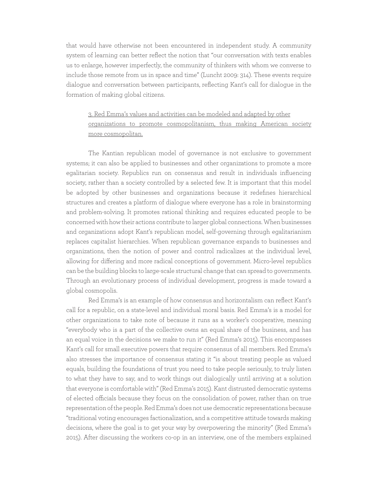that would have otherwise not been encountered in independent study. A community system of learning can better reflect the notion that "our conversation with texts enables us to enlarge, however imperfectly, the community of thinkers with whom we converse to include those remote from us in space and time" (Luncht 2009: 314). These events require dialogue and conversation between participants, reflecting Kant's call for dialogue in the formation of making global citizens.

### 3. Red Emma's values and activities can be modeled and adapted by other organizations to promote cosmopolitanism, thus making American society more cosmopolitan.

The Kantian republican model of governance is not exclusive to government systems; it can also be applied to businesses and other organizations to promote a more egalitarian society. Republics run on consensus and result in individuals influencing society, rather than a society controlled by a selected few. It is important that this model be adopted by other businesses and organizations because it redefines hierarchical structures and creates a platform of dialogue where everyone has a role in brainstorming and problem-solving. It promotes rational thinking and requires educated people to be concerned with how their actions contribute to larger global connections. When businesses and organizations adopt Kant's republican model, self-governing through egalitarianism replaces capitalist hierarchies. When republican governance expands to businesses and organizations, then the notion of power and control radicalizes at the individual level, allowing for differing and more radical conceptions of government. Micro-level republics can be the building blocks to large-scale structural change that can spread to governments. Through an evolutionary process of individual development, progress is made toward a global cosmopolis.

Red Emma's is an example of how consensus and horizontalism can reflect Kant's call for a republic, on a state-level and individual moral basis. Red Emma's is a model for other organizations to take note of because it runs as a worker's cooperative, meaning "everybody who is a part of the collective owns an equal share of the business, and has an equal voice in the decisions we make to run it" (Red Emma's 2015). This encompasses Kant's call for small executive powers that require consensus of all members. Red Emma's also stresses the importance of consensus stating it "is about treating people as valued equals, building the foundations of trust you need to take people seriously, to truly listen to what they have to say, and to work things out dialogically until arriving at a solution that everyone is comfortable with" (Red Emma's 2015). Kant distrusted democratic systems of elected officials because they focus on the consolidation of power, rather than on true representation of the people. Red Emma's does not use democratic representations because "traditional voting encourages factionalization, and a competitive attitude towards making decisions, where the goal is to get your way by overpowering the minority" (Red Emma's 2015). After discussing the workers co-op in an interview, one of the members explained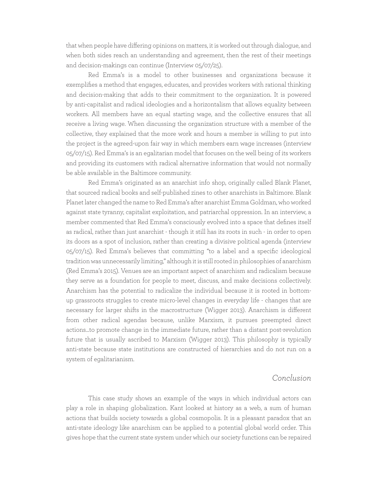that when people have differing opinions on matters, it is worked out through dialogue, and when both sides reach an understanding and agreement, then the rest of their meetings and decision-makings can continue (Interview 05/07/25).

Red Emma's is a model to other businesses and organizations because it exemplifies a method that engages, educates, and provides workers with rational thinking and decision-making that adds to their commitment to the organization. It is powered by anti-capitalist and radical ideologies and a horizontalism that allows equality between workers. All members have an equal starting wage, and the collective ensures that all receive a living wage. When discussing the organization structure with a member of the collective, they explained that the more work and hours a member is willing to put into the project is the agreed-upon fair way in which members earn wage increases (interview 05/07/15). Red Emma's is an egalitarian model that focuses on the well being of its workers and providing its customers with radical alternative information that would not normally be able available in the Baltimore community.

Red Emma's originated as an anarchist info shop, originally called Blank Planet, that sourced radical books and self-published zines to other anarchists in Baltimore. Blank Planet later changed the name to Red Emma's after anarchist Emma Goldman, who worked against state tyranny, capitalist exploitation, and patriarchal oppression. In an interview, a member commented that Red Emma's consciously evolved into a space that defines itself as radical, rather than just anarchist - though it still has its roots in such - in order to open its doors as a spot of inclusion, rather than creating a divisive political agenda (interview 05/07/15). Red Emma's believes that committing "to a label and a specific ideological tradition was unnecessarily limiting," although it is still rooted in philosophies of anarchism (Red Emma's 2015). Venues are an important aspect of anarchism and radicalism because they serve as a foundation for people to meet, discuss, and make decisions collectively. Anarchism has the potential to radicalize the individual because it is rooted in bottomup grassroots struggles to create micro-level changes in everyday life - changes that are necessary for larger shifts in the macrostructure (Wigger 2013). Anarchism is different from other radical agendas because, unlike Marxism, it pursues preempted direct actions...to promote change in the immediate future, rather than a distant post-revolution future that is usually ascribed to Marxism (Wigger 2013). This philosophy is typically anti-state because state institutions are constructed of hierarchies and do not run on a system of egalitarianism.

### *Conclusion*

This case study shows an example of the ways in which individual actors can play a role in shaping globalization. Kant looked at history as a web, a sum of human actions that builds society towards a global cosmopolis. It is a pleasant paradox that an anti-state ideology like anarchism can be applied to a potential global world order. This gives hope that the current state system under which our society functions can be repaired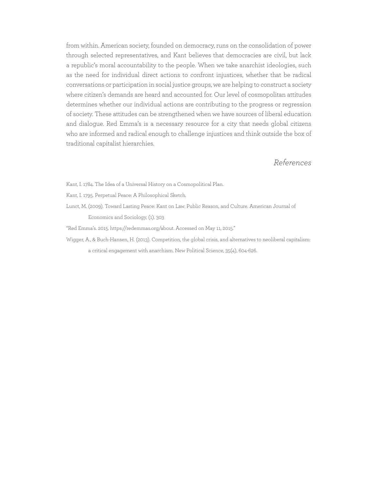from within. American society, founded on democracy, runs on the consolidation of power through selected representatives, and Kant believes that democracies are civil, but lack a republic's moral accountability to the people. When we take anarchist ideologies, such as the need for individual direct actions to confront injustices, whether that be radical conversations or participation in social justice groups, we are helping to construct a society where citizen's demands are heard and accounted for. Our level of cosmopolitan attitudes determines whether our individual actions are contributing to the progress or regression of society. These attitudes can be strengthened when we have sources of liberal education and dialogue. Red Emma's is a necessary resource for a city that needs global citizens who are informed and radical enough to challenge injustices and think outside the box of traditional capitalist hierarchies.

### *References*

Kant, I. 1784. The Idea of a Universal History on a Cosmopolitical Plan.

Kant, I. 1795. Perpetual Peace: A Philosophical Sketch.

Lunct, M. (2009). Toward Lasting Peace: Kant on Law. Public Reason, and Culture. American Journal of Economics and Sociology, (1). 303

"Red Emma's. 2015. https://redemmas.org/about. Accessed on May 11, 2015."

Wigger, A., & Buch-Hansen, H. (2013). Competition, the global crisis, and alternatives to neoliberal capitalism:

a critical engagement with anarchism. New Political Science, 35(4), 604-626.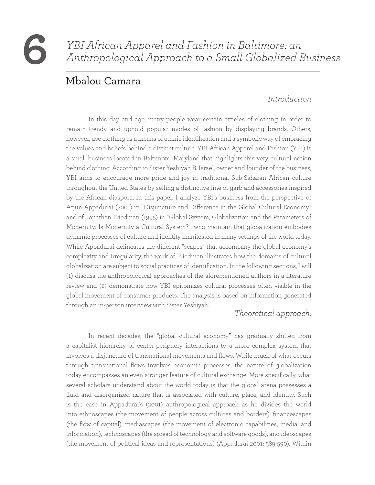# **6** *YBI African Apparel and Fashion in Baltimore: an Anthropological Approach to a Small Globalized Business*

# Mbalou Camara

### *Introduction*

In this day and age, many people wear certain articles of clothing in order to remain trendy and uphold popular modes of fashion by displaying brands. Others, however, use clothing as a means of ethnic identification and a symbolic way of embracing the values and beliefs behind a distinct culture. YBI African Apparel and Fashion (YBI) is a small business located in Baltimore, Maryland that highlights this very cultural notion behind clothing. According to Sister Yeshiyah B. Israel, owner and founder of the business, YBI aims to encourage more pride and joy in traditional Sub-Saharan African culture throughout the United States by selling a distinctive line of garb and accessories inspired by the African diaspora. In this paper, I analyze YBI's business from the perspective of Arjun Appadurai (2001) in "Disjuncture and Difference in the Global Cultural Economy" and of Jonathan Friedman (1995) in "Global System, Globalization and the Parameters of Modernity: Is Modernity a Cultural System?", who maintain that globalization embodies dynamic processes of culture and identity manifested in many settings of the world today. While Appadurai delineates the different "scapes" that accompany the global economy's complexity and irregularity, the work of Friedman illustrates how the domains of cultural globalization are subject to social practices of identification. In the following sections, I will (1) discuss the anthropological approaches of the aforementioned authors in a literature review and (2) demonstrate how YBI epitomizes cultural processes often visible in the global movement of consumer products. The analysis is based on information generated through an in-person interview with Sister Yeshiyah.

### *Theoretical approach:*

In recent decades, the "global cultural economy" has gradually shifted from a capitalist hierarchy of center-periphery interactions to a more complex system that involves a disjuncture of transnational movements and flows. While much of what occurs through transnational flows involves economic processes, the nature of globalization today encompasses an even stronger feature of cultural exchange. More specifically, what several scholars understand about the world today is that the global arena possesses a fluid and disorganized nature that is associated with culture, place, and identity. Such is the case in Appadurai's (2001) anthropological approach as he divides the world into ethnoscapes (the movement of people across cultures and borders), financescapes (the flow of capital), mediascapes (the movement of electronic capabilities, media, and information), technoscapes (the spread of technology and software goods), and ideoscapes (the movement of political ideas and representations) (Appadurai 2001: 589-590). Within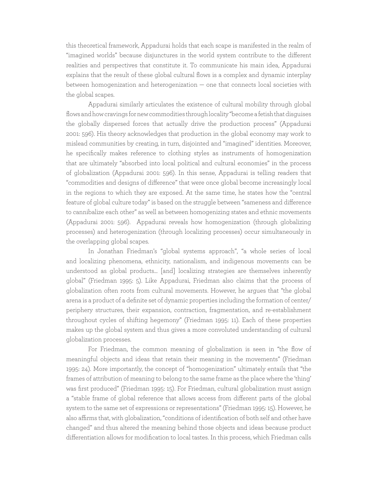this theoretical framework, Appadurai holds that each scape is manifested in the realm of "imagined worlds" because disjunctures in the world system contribute to the different realities and perspectives that constitute it. To communicate his main idea, Appadurai explains that the result of these global cultural flows is a complex and dynamic interplay between homogenization and heterogenization — one that connects local societies with the global scapes.

Appadurai similarly articulates the existence of cultural mobility through global flows and how cravings for new commodities through locality "become a fetish that disguises the globally dispersed forces that actually drive the production process" (Appadurai 2001: 596). His theory acknowledges that production in the global economy may work to mislead communities by creating, in turn, disjointed and "imagined" identities. Moreover, he specifically makes reference to clothing styles as instruments of homogenization that are ultimately "absorbed into local political and cultural economies" in the process of globalization (Appadurai 2001: 596). In this sense, Appadurai is telling readers that "commodities and designs of difference" that were once global become increasingly local in the regions to which they are exposed. At the same time, he states how the "central feature of global culture today" is based on the struggle between "sameness and difference to cannibalize each other" as well as between homogenizing states and ethnic movements (Appadurai 2001: 596). Appadurai reveals how homogenization (through globalizing processes) and heterogenization (through localizing processes) occur simultaneously in the overlapping global scapes.

In Jonathan Friedman's "global systems approach", "a whole series of local and localizing phenomena, ethnicity, nationalism, and indigenous movements can be understood as global products... [and] localizing strategies are themselves inherently global" (Friedman 1995: 5). Like Appadurai, Friedman also claims that the process of globalization often roots from cultural movements. However, he argues that "the global arena is a product of a definite set of dynamic properties including the formation of center/ periphery structures, their expansion, contraction, fragmentation, and re-establishment throughout cycles of shifting hegemony" (Friedman 1995: 11). Each of these properties makes up the global system and thus gives a more convoluted understanding of cultural globalization processes.

For Friedman, the common meaning of globalization is seen in "the flow of meaningful objects and ideas that retain their meaning in the movements" (Friedman 1995: 24). More importantly, the concept of "homogenization" ultimately entails that "the frames of attribution of meaning to belong to the same frame as the place where the 'thing' was first produced" (Friedman 1995: 15). For Friedman, cultural globalization must assign a "stable frame of global reference that allows access from different parts of the global system to the same set of expressions or representations" (Friedman 1995: 15). However, he also affirms that, with globalization, "conditions of identification of both self and other have changed" and thus altered the meaning behind those objects and ideas because product differentiation allows for modification to local tastes. In this process, which Friedman calls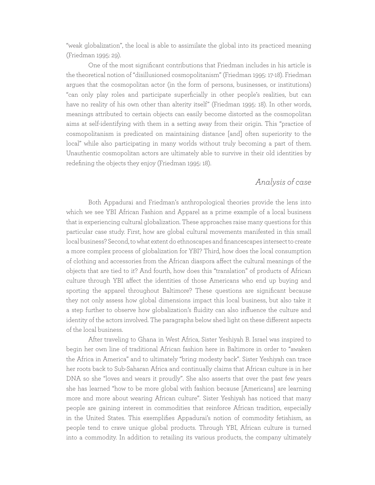"weak globalization", the local is able to assimilate the global into its practiced meaning (Friedman 1995: 29).

One of the most significant contributions that Friedman includes in his article is the theoretical notion of "disillusioned cosmopolitanism" (Friedman 1995: 17-18). Friedman argues that the cosmopolitan actor (in the form of persons, businesses, or institutions) "can only play roles and participate superficially in other people's realities, but can have no reality of his own other than alterity itself" (Friedman 1995: 18). In other words, meanings attributed to certain objects can easily become distorted as the cosmopolitan aims at self-identifying with them in a setting away from their origin. This "practice of cosmopolitanism is predicated on maintaining distance [and] often superiority to the local" while also participating in many worlds without truly becoming a part of them. Unauthentic cosmopolitan actors are ultimately able to survive in their old identities by redefining the objects they enjoy (Friedman 1995: 18).

### *Analysis of case*

Both Appadurai and Friedman's anthropological theories provide the lens into which we see YBI African Fashion and Apparel as a prime example of a local business that is experiencing cultural globalization. These approaches raise many questions for this particular case study. First, how are global cultural movements manifested in this small local business? Second, to what extent do ethnoscapes and financescapes intersect to create a more complex process of globalization for YBI? Third, how does the local consumption of clothing and accessories from the African diaspora affect the cultural meanings of the objects that are tied to it? And fourth, how does this "translation" of products of African culture through YBI affect the identities of those Americans who end up buying and sporting the apparel throughout Baltimore? These questions are significant because they not only assess how global dimensions impact this local business, but also take it a step further to observe how globalization's fluidity can also influence the culture and identity of the actors involved. The paragraphs below shed light on these different aspects of the local business.

After traveling to Ghana in West Africa, Sister Yeshiyah B. Israel was inspired to begin her own line of traditional African fashion here in Baltimore in order to "awaken the Africa in America" and to ultimately "bring modesty back". Sister Yeshiyah can trace her roots back to Sub-Saharan Africa and continually claims that African culture is in her DNA so she "loves and wears it proudly". She also asserts that over the past few years she has learned "how to be more global with fashion because [Americans] are learning more and more about wearing African culture". Sister Yeshiyah has noticed that many people are gaining interest in commodities that reinforce African tradition, especially in the United States. This exemplifies Appadurai's notion of commodity fetishism, as people tend to crave unique global products. Through YBI, African culture is turned into a commodity. In addition to retailing its various products, the company ultimately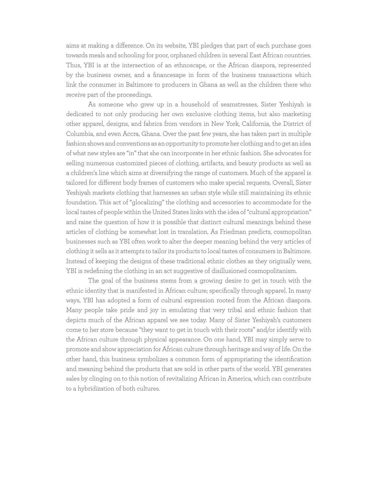aims at making a difference. On its website, YBI pledges that part of each purchase goes towards meals and schooling for poor, orphaned children in several East African countries. Thus, YBI is at the intersection of an ethnoscape, or the African diaspora, represented by the business owner, and a financesape in form of the business transactions which link the consumer in Baltimore to producers in Ghana as well as the children there who receive part of the proceedings.

As someone who grew up in a household of seamstresses, Sister Yeshiyah is dedicated to not only producing her own exclusive clothing items, but also marketing other apparel, designs, and fabrics from vendors in New York, California, the District of Columbia, and even Accra, Ghana. Over the past few years, she has taken part in multiple fashion shows and conventions as an opportunity to promote her clothing and to get an idea of what new styles are "in" that she can incorporate in her ethnic fashion. She advocates for selling numerous customized pieces of clothing, artifacts, and beauty products as well as a children's line which aims at diversifying the range of customers. Much of the apparel is tailored for different body frames of customers who make special requests. Overall, Sister Yeshiyah markets clothing that harnesses an urban style while still maintaining its ethnic foundation. This act of "glocalizing" the clothing and accessories to accommodate for the local tastes of people within the United States links with the idea of "cultural appropriation" and raise the question of how it is possible that distinct cultural meanings behind these articles of clothing be somewhat lost in translation. As Friedman predicts, cosmopolitan businesses such as YBI often work to alter the deeper meaning behind the very articles of clothing it sells as it attempts to tailor its products to local tastes of consumers in Baltimore. Instead of keeping the designs of these traditional ethnic clothes as they originally were, YBI is redefining the clothing in an act suggestive of disillusioned cosmopolitanism.

The goal of the business stems from a growing desire to get in touch with the ethnic identity that is manifested in African culture; specifically through apparel. In many ways, YBI has adopted a form of cultural expression rooted from the African diaspora. Many people take pride and joy in emulating that very tribal and ethnic fashion that depicts much of the African apparel we see today. Many of Sister Yeshiyah's customers come to her store because "they want to get in touch with their roots" and/or identify with the African culture through physical appearance. On one hand, YBI may simply serve to promote and show appreciation for African culture through heritage and way of life. On the other hand, this business symbolizes a common form of appropriating the identification and meaning behind the products that are sold in other parts of the world. YBI generates sales by clinging on to this notion of revitalizing African in America, which can contribute to a hybridization of both cultures.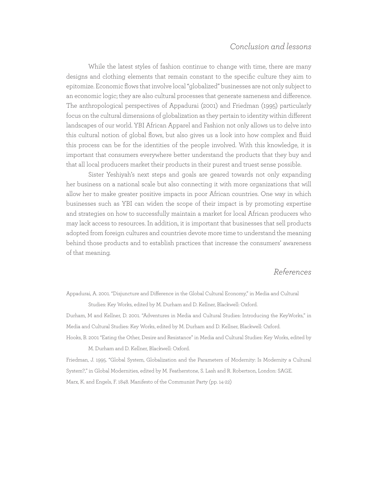### *Conclusion and lessons*

While the latest styles of fashion continue to change with time, there are many designs and clothing elements that remain constant to the specific culture they aim to epitomize. Economic flows that involve local "globalized" businesses are not only subject to an economic logic; they are also cultural processes that generate sameness and difference. The anthropological perspectives of Appadurai (2001) and Friedman (1995) particularly focus on the cultural dimensions of globalization as they pertain to identity within different landscapes of our world. YBI African Apparel and Fashion not only allows us to delve into this cultural notion of global flows, but also gives us a look into how complex and fluid this process can be for the identities of the people involved. With this knowledge, it is important that consumers everywhere better understand the products that they buy and that all local producers market their products in their purest and truest sense possible.

Sister Yeshiyah's next steps and goals are geared towards not only expanding her business on a national scale but also connecting it with more organizations that will allow her to make greater positive impacts in poor African countries. One way in which businesses such as YBI can widen the scope of their impact is by promoting expertise and strategies on how to successfully maintain a market for local African producers who may lack access to resources. In addition, it is important that businesses that sell products adopted from foreign cultures and countries devote more time to understand the meaning behind those products and to establish practices that increase the consumers' awareness of that meaning.

### *References*

Appadurai, A. 2001. "Disjuncture and Difference in the Global Cultural Economy," in Media and Cultural Studies: Key Works, edited by M. Durham and D. Kellner, Blackwell: Oxford.

Durham, M and Kellner, D. 2001. "Adventures in Media and Cultural Studies: Introducing the KeyWorks," in Media and Cultural Studies: Key Works, edited by M. Durham and D. Kellner, Blackwell: Oxford.

Hooks, B. 2001 "Eating the Other, Desire and Resistance" in Media and Cultural Studies: Key Works, edited by M. Durham and D. Kellner, Blackwell: Oxford.

Friedman, J. 1995. "Global System, Globalization and the Parameters of Modernity: Is Modernity a Cultural System?," in Global Modernities, edited by M. Featherstone, S. Lash and R. Robertson, London: SAGE. Marx, K. and Engels, F. 1848. Manifesto of the Communist Party (pp. 14-22)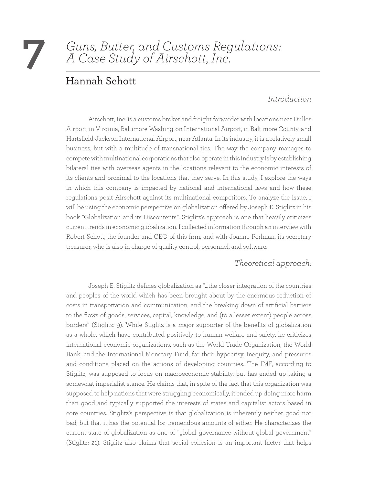# **7** *Guns, Butter, and Customs Regulations: A Case Study of Airschott, Inc.*

# Hannah Schott

### *Introduction*

Airschott, Inc. is a customs broker and freight forwarder with locations near Dulles Airport, in Virginia, Baltimore-Washington International Airport, in Baltimore County, and Hartsfield-Jackson International Airport, near Atlanta. In its industry, it is a relatively small business, but with a multitude of transnational ties. The way the company manages to compete with multinational corporations that also operate in this industry is by establishing bilateral ties with overseas agents in the locations relevant to the economic interests of its clients and proximal to the locations that they serve. In this study, I explore the ways in which this company is impacted by national and international laws and how these regulations posit Airschott against its multinational competitors. To analyze the issue, I will be using the economic perspective on globalization offered by Joseph E. Stiglitz in his book "Globalization and its Discontents". Stiglitz's approach is one that heavily criticizes current trends in economic globalization. I collected information through an interview with Robert Schott, the founder and CEO of this firm, and with Joanne Perlman, its secretary treasurer, who is also in charge of quality control, personnel, and software.

### *Theoretical approach:*

Joseph E. Stiglitz defines globalization as "…the closer integration of the countries and peoples of the world which has been brought about by the enormous reduction of costs in transportation and communication, and the breaking down of artificial barriers to the flows of goods, services, capital, knowledge, and (to a lesser extent) people across borders" (Stiglitz: 9). While Stiglitz is a major supporter of the benefits of globalization as a whole, which have contributed positively to human welfare and safety, he criticizes international economic organizations, such as the World Trade Organization, the World Bank, and the International Monetary Fund, for their hypocrisy, inequity, and pressures and conditions placed on the actions of developing countries. The IMF, according to Stiglitz, was supposed to focus on macroeconomic stability, but has ended up taking a somewhat imperialist stance. He claims that, in spite of the fact that this organization was supposed to help nations that were struggling economically, it ended up doing more harm than good and typically supported the interests of states and capitalist actors based in core countries. Stiglitz's perspective is that globalization is inherently neither good nor bad, but that it has the potential for tremendous amounts of either. He characterizes the current state of globalization as one of "global governance without global government" (Stiglitz: 21). Stiglitz also claims that social cohesion is an important factor that helps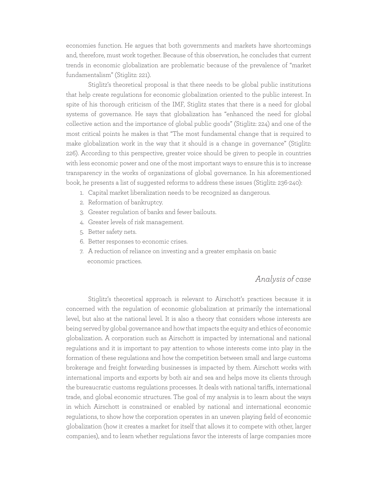economies function. He argues that both governments and markets have shortcomings and, therefore, must work together. Because of this observation, he concludes that current trends in economic globalization are problematic because of the prevalence of "market fundamentalism" (Stiglitz: 221).

Stiglitz's theoretical proposal is that there needs to be global public institutions that help create regulations for economic globalization oriented to the public interest. In spite of his thorough criticism of the IMF, Stiglitz states that there is a need for global systems of governance. He says that globalization has "enhanced the need for global collective action and the importance of global public goods" (Stiglitz: 224) and one of the most critical points he makes is that "The most fundamental change that is required to make globalization work in the way that it should is a change in governance" (Stiglitz: 226). According to this perspective, greater voice should be given to people in countries with less economic power and one of the most important ways to ensure this is to increase transparency in the works of organizations of global governance. In his aforementioned book, he presents a list of suggested reforms to address these issues (Stiglitz: 236-240):

- 1. Capital market liberalization needs to be recognized as dangerous.
- 2. Reformation of bankruptcy.
- 3. Greater regulation of banks and fewer bailouts.
- 4. Greater levels of risk management.
- 5. Better safety nets.
- 6. Better responses to economic crises.
- 7. A reduction of reliance on investing and a greater emphasis on basic economic practices.

### *Analysis of case*

Stiglitz's theoretical approach is relevant to Airschott's practices because it is concerned with the regulation of economic globalization at primarily the international level, but also at the national level. It is also a theory that considers whose interests are being served by global governance and how that impacts the equity and ethics of economic globalization. A corporation such as Airschott is impacted by international and national regulations and it is important to pay attention to whose interests come into play in the formation of these regulations and how the competition between small and large customs brokerage and freight forwarding businesses is impacted by them. Airschott works with international imports and exports by both air and sea and helps move its clients through the bureaucratic customs regulations processes. It deals with national tariffs, international trade, and global economic structures. The goal of my analysis is to learn about the ways in which Airschott is constrained or enabled by national and international economic regulations, to show how the corporation operates in an uneven playing field of economic globalization (how it creates a market for itself that allows it to compete with other, larger companies), and to learn whether regulations favor the interests of large companies more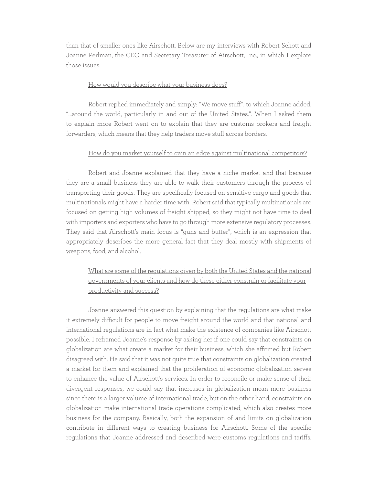than that of smaller ones like Airschott. Below are my interviews with Robert Schott and Joanne Perlman, the CEO and Secretary Treasurer of Airschott, Inc., in which I explore those issues.

#### How would you describe what your business does?

Robert replied immediately and simply: "We move stuff", to which Joanne added, "…around the world, particularly in and out of the United States.". When I asked them to explain more Robert went on to explain that they are customs brokers and freight forwarders, which means that they help traders move stuff across borders.

#### How do you market yourself to gain an edge against multinational competitors?

Robert and Joanne explained that they have a niche market and that because they are a small business they are able to walk their customers through the process of transporting their goods. They are specifically focused on sensitive cargo and goods that multinationals might have a harder time with. Robert said that typically multinationals are focused on getting high volumes of freight shipped, so they might not have time to deal with importers and exporters who have to go through more extensive regulatory processes. They said that Airschott's main focus is "guns and butter", which is an expression that appropriately describes the more general fact that they deal mostly with shipments of weapons, food, and alcohol.

### What are some of the regulations given by both the United States and the national governments of your clients and how do these either constrain or facilitate your productivity and success?

Joanne answered this question by explaining that the regulations are what make it extremely difficult for people to move freight around the world and that national and international regulations are in fact what make the existence of companies like Airschott possible. I reframed Joanne's response by asking her if one could say that constraints on globalization are what create a market for their business, which she affirmed but Robert disagreed with. He said that it was not quite true that constraints on globalization created a market for them and explained that the proliferation of economic globalization serves to enhance the value of Airschott's services. In order to reconcile or make sense of their divergent responses, we could say that increases in globalization mean more business since there is a larger volume of international trade, but on the other hand, constraints on globalization make international trade operations complicated, which also creates more business for the company. Basically, both the expansion of and limits on globalization contribute in different ways to creating business for Airschott. Some of the specific regulations that Joanne addressed and described were customs regulations and tariffs.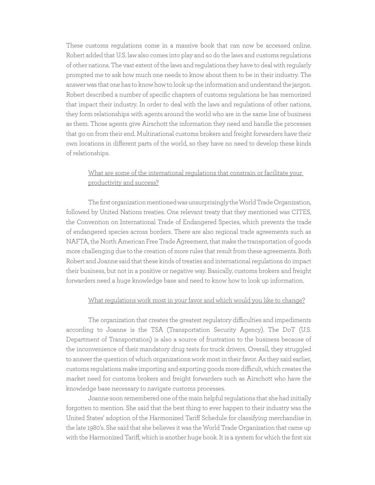These customs regulations come in a massive book that can now be accessed online. Robert added that U.S. law also comes into play and so do the laws and customs regulations of other nations. The vast extent of the laws and regulations they have to deal with regularly prompted me to ask how much one needs to know about them to be in their industry. The answer was that one has to know how to look up the information and understand the jargon. Robert described a number of specific chapters of customs regulations he has memorized that impact their industry. In order to deal with the laws and regulations of other nations, they form relationships with agents around the world who are in the same line of business as them. Those agents give Airschott the information they need and handle the processes that go on from their end. Multinational customs brokers and freight forwarders have their own locations in different parts of the world, so they have no need to develop these kinds of relationships.

### What are some of the international regulations that constrain or facilitate your productivity and success?

The first organization mentioned was unsurprisingly the World Trade Organization, followed by United Nations treaties. One relevant treaty that they mentioned was CITES, the Convention on International Trade of Endangered Species, which prevents the trade of endangered species across borders. There are also regional trade agreements such as NAFTA, the North American Free Trade Agreement, that make the transportation of goods more challenging due to the creation of more rules that result from these agreements. Both Robert and Joanne said that these kinds of treaties and international regulations do impact their business, but not in a positive or negative way. Basically, customs brokers and freight forwarders need a huge knowledge base and need to know how to look up information.

### What regulations work most in your favor and which would you like to change?

The organization that creates the greatest regulatory difficulties and impediments according to Joanne is the TSA (Transportation Security Agency). The DoT (U.S. Department of Transportation) is also a source of frustration to the business because of the inconvenience of their mandatory drug tests for truck drivers. Overall, they struggled to answer the question of which organizations work most in their favor. As they said earlier, customs regulations make importing and exporting goods more difficult, which creates the market need for customs brokers and freight forwarders such as Airschott who have the knowledge base necessary to navigate customs processes.

Joanne soon remembered one of the main helpful regulations that she had initially forgotten to mention. She said that the best thing to ever happen to their industry was the United States' adoption of the Harmonized Tariff Schedule for classifying merchandise in the late 1980's. She said that she believes it was the World Trade Organization that came up with the Harmonized Tariff, which is another huge book. It is a system for which the first six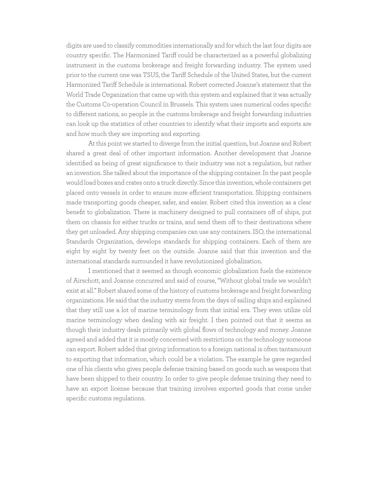digits are used to classify commodities internationally and for which the last four digits are country specific. The Harmonized Tariff could be characterized as a powerful globalizing instrument in the customs brokerage and freight forwarding industry. The system used prior to the current one was TSUS, the Tariff Schedule of the United States, but the current Harmonized Tariff Schedule is international. Robert corrected Joanne's statement that the World Trade Organization that came up with this system and explained that it was actually the Customs Co-operation Council in Brussels. This system uses numerical codes specific to different nations, so people in the customs brokerage and freight forwarding industries can look up the statistics of other countries to identify what their imports and exports are and how much they are importing and exporting.

At this point we started to diverge from the initial question, but Joanne and Robert shared a great deal of other important information. Another development that Joanne identified as being of great significance to their industry was not a regulation, but rather an invention. She talked about the importance of the shipping container. In the past people would load boxes and crates onto a truck directly. Since this invention, whole containers get placed onto vessels in order to ensure more efficient transportation. Shipping containers made transporting goods cheaper, safer, and easier. Robert cited this invention as a clear benefit to globalization. There is machinery designed to pull containers off of ships, put them on chassis for either trucks or trains, and send them off to their destinations where they get unloaded. Any shipping companies can use any containers. ISO, the international Standards Organization, develops standards for shipping containers. Each of them are eight by eight by twenty feet on the outside. Joanne said that this invention and the international standards surrounded it have revolutionized globalization.

I mentioned that it seemed as though economic globalization fuels the existence of Airschott, and Joanne concurred and said of course, "Without global trade we wouldn't exist at all." Robert shared some of the history of customs brokerage and freight forwarding organizations. He said that the industry stems from the days of sailing ships and explained that they still use a lot of marine terminology from that initial era. They even utilize old marine terminology when dealing with air freight. I then pointed out that it seems as though their industry deals primarily with global flows of technology and money. Joanne agreed and added that it is mostly concerned with restrictions on the technology someone can export. Robert added that giving information to a foreign national is often tantamount to exporting that information, which could be a violation. The example he gave regarded one of his clients who gives people defense training based on goods such as weapons that have been shipped to their country. In order to give people defense training they need to have an export license because that training involves exported goods that come under specific customs regulations.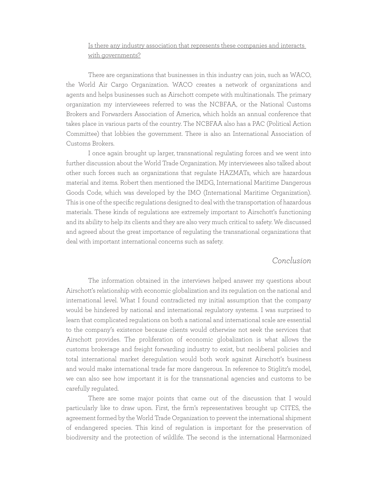### Is there any industry association that represents these companies and interacts with governments?

There are organizations that businesses in this industry can join, such as WACO, the World Air Cargo Organization. WACO creates a network of organizations and agents and helps businesses such as Airschott compete with multinationals. The primary organization my interviewees referred to was the NCBFAA, or the National Customs Brokers and Forwarders Association of America, which holds an annual conference that takes place in various parts of the country. The NCBFAA also has a PAC (Political Action Committee) that lobbies the government. There is also an International Association of Customs Brokers.

I once again brought up larger, transnational regulating forces and we went into further discussion about the World Trade Organization. My interviewees also talked about other such forces such as organizations that regulate HAZMATs, which are hazardous material and items. Robert then mentioned the IMDG, International Maritime Dangerous Goods Code, which was developed by the IMO (International Maritime Organization). This is one of the specific regulations designed to deal with the transportation of hazardous materials. These kinds of regulations are extremely important to Airschott's functioning and its ability to help its clients and they are also very much critical to safety. We discussed and agreed about the great importance of regulating the transnational organizations that deal with important international concerns such as safety.

### *Conclusion*

The information obtained in the interviews helped answer my questions about Airschott's relationship with economic globalization and its regulation on the national and international level. What I found contradicted my initial assumption that the company would be hindered by national and international regulatory systems. I was surprised to learn that complicated regulations on both a national and international scale are essential to the company's existence because clients would otherwise not seek the services that Airschott provides. The proliferation of economic globalization is what allows the customs brokerage and freight forwarding industry to exist, but neoliberal policies and total international market deregulation would both work against Airschott's business and would make international trade far more dangerous. In reference to Stiglitz's model, we can also see how important it is for the transnational agencies and customs to be carefully regulated.

There are some major points that came out of the discussion that I would particularly like to draw upon. First, the firm's representatives brought up CITES, the agreement formed by the World Trade Organization to prevent the international shipment of endangered species. This kind of regulation is important for the preservation of biodiversity and the protection of wildlife. The second is the international Harmonized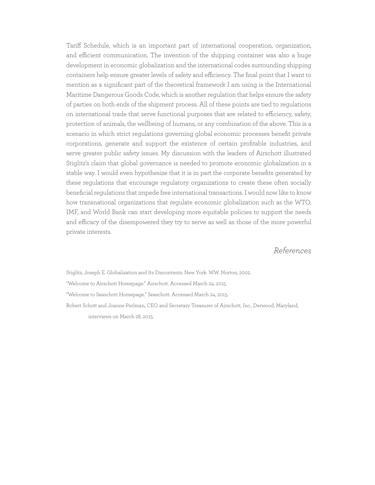Tariff Schedule, which is an important part of international cooperation, organization, and efficient communication. The invention of the shipping container was also a huge development in economic globalization and the international codes surrounding shipping containers help ensure greater levels of safety and efficiency. The final point that I want to mention as a significant part of the theoretical framework I am using is the International Maritime Dangerous Goods Code, which is another regulation that helps ensure the safety of parties on both ends of the shipment process. All of these points are tied to regulations on international trade that serve functional purposes that are related to efficiency, safety, protection of animals, the wellbeing of humans, or any combination of the above. This is a scenario in which strict regulations governing global economic processes benefit private corporations, generate and support the existence of certain profitable industries, and serve greater public safety issues. My discussion with the leaders of Airschott illustrated Stiglitz's claim that global governance is needed to promote economic globalization in a stable way. I would even hypothesize that it is in part the corporate benefits generated by these regulations that encourage regulatory organizations to create these often socially beneficial regulations that impede free international transactions. I would now like to know how transnational organizations that regulate economic globalization such as the WTO, IMF, and World Bank can start developing more equitable policies to support the needs and efficacy of the disempowered they try to serve as well as those of the more powerful private interests.

*References*

Stiglitz, Joseph E. Globalization and Its Discontents. New York: W.W. Norton, 2002.

"Welcome to Airschott Homepage." Airschott. Accessed March 24, 2015.

"Welcome to Seaschott Homepage." Seaschott. Accessed March 24, 2015.

Robert Schott and Joanne Perlman, CEO and Secretary Treasurer of Airschott, Inc., Derwood, Maryland, interviews on March 28, 2015.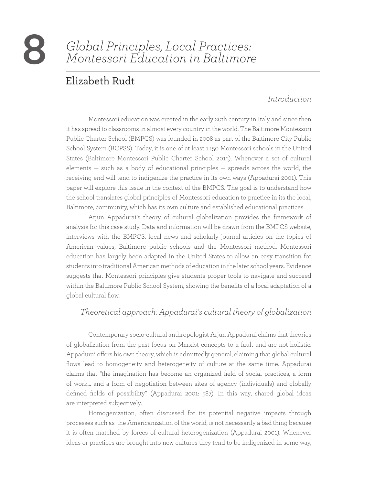# Elizabeth Rudt

## *Introduction*

Montessori education was created in the early 20th century in Italy and since then it has spread to classrooms in almost every country in the world. The Baltimore Montessori Public Charter School (BMPCS) was founded in 2008 as part of the Baltimore City Public School System (BCPSS). Today, it is one of at least 1,150 Montessori schools in the United States (Baltimore Montessori Public Charter School 2015). Whenever a set of cultural elements — such as a body of educational principles — spreads across the world, the receiving end will tend to indigenize the practice in its own ways (Appadurai 2001). This paper will explore this issue in the context of the BMPCS. The goal is to understand how the school translates global principles of Montessori education to practice in its the local, Baltimore, community, which has its own culture and established educational practices.

Arjun Appadurai's theory of cultural globalization provides the framework of analysis for this case study. Data and information will be drawn from the BMPCS website, interviews with the BMPCS, local news and scholarly journal articles on the topics of American values, Baltimore public schools and the Montessori method. Montessori education has largely been adapted in the United States to allow an easy transition for students into traditional American methods of education in the later school years. Evidence suggests that Montessori principles give students proper tools to navigate and succeed within the Baltimore Public School System, showing the benefits of a local adaptation of a global cultural flow.

### *Theoretical approach: Appadurai's cultural theory of globalization*

Contemporary socio-cultural anthropologist Arjun Appadurai claims that theories of globalization from the past focus on Marxist concepts to a fault and are not holistic. Appadurai offers his own theory, which is admittedly general, claiming that global cultural flows lead to homogeneity and heterogeneity of culture at the same time. Appadurai claims that "the imagination has become an organized field of social practices, a form of work… and a form of negotiation between sites of agency (individuals) and globally defined fields of possibility" (Appadurai 2001: 587). In this way, shared global ideas are interpreted subjectively.

Homogenization, often discussed for its potential negative impacts through processes such as the Americanization of the world, is not necessarily a bad thing because it is often matched by forces of cultural heterogenization (Appadurai 2001). Whenever ideas or practices are brought into new cultures they tend to be indigenized in some way,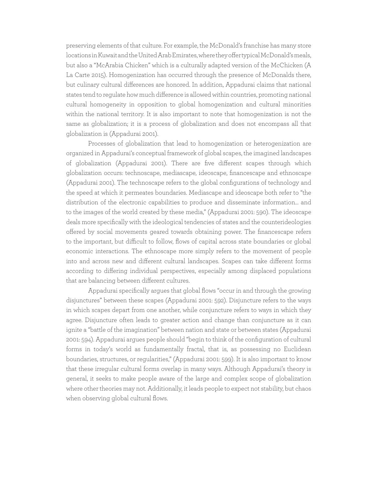preserving elements of that culture. For example, the McDonald's franchise has many store locations in Kuwait and the United Arab Emirates, where they offer typical McDonald's meals, but also a "McArabia Chicken" which is a culturally adapted version of the McChicken (A La Carte 2015). Homogenization has occurred through the presence of McDonalds there, but culinary cultural differences are honored. In addition, Appadurai claims that national states tend to regulate how much difference is allowed within countries, promoting national cultural homogeneity in opposition to global homogenization and cultural minorities within the national territory. It is also important to note that homogenization is not the same as globalization; it is a process of globalization and does not encompass all that globalization is (Appadurai 2001).

Processes of globalization that lead to homogenization or heterogenization are organized in Appadurai's conceptual framework of global scapes, the imagined landscapes of globalization (Appadurai 2001). There are five different scapes through which globalization occurs: technoscape, mediascape, ideoscape, financescape and ethnoscape (Appadurai 2001). The technoscape refers to the global configurations of technology and the speed at which it permeates boundaries. Mediascape and ideoscape both refer to "the distribution of the electronic capabilities to produce and disseminate information… and to the images of the world created by these media," (Appadurai 2001: 590). The ideoscape deals more specifically with the ideological tendencies of states and the counterideologies offered by social movements geared towards obtaining power. The financescape refers to the important, but difficult to follow, flows of capital across state boundaries or global economic interactions. The ethnoscape more simply refers to the movement of people into and across new and different cultural landscapes. Scapes can take different forms according to differing individual perspectives, especially among displaced populations that are balancing between different cultures.

Appadurai specifically argues that global flows "occur in and through the growing disjunctures" between these scapes (Appadurai 2001: 592). Disjuncture refers to the ways in which scapes depart from one another, while conjuncture refers to ways in which they agree. Disjuncture often leads to greater action and change than conjuncture as it can ignite a "battle of the imagination" between nation and state or between states (Appadurai 2001: 594). Appadurai argues people should "begin to think of the configuration of cultural forms in today's world as fundamentally fractal, that is, as possessing no Euclidean boundaries, structures, or regularities," (Appadurai 2001: 599). It is also important to know that these irregular cultural forms overlap in many ways. Although Appadurai's theory is general, it seeks to make people aware of the large and complex scope of globalization where other theories may not. Additionally, it leads people to expect not stability, but chaos when observing global cultural flows.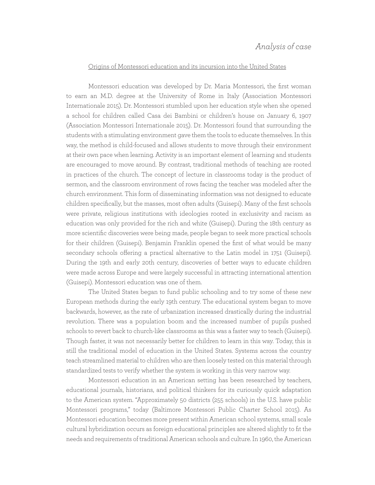#### Origins of Montessori education and its incursion into the United States

Montessori education was developed by Dr. Maria Montessori, the first woman to earn an M.D. degree at the University of Rome in Italy (Association Montessori Internationale 2015). Dr. Montessori stumbled upon her education style when she opened a school for children called Casa dei Bambini or children's house on January 6, 1907 (Association Montessori Internationale 2015). Dr. Montessori found that surrounding the students with a stimulating environment gave them the tools to educate themselves. In this way, the method is child-focused and allows students to move through their environment at their own pace when learning. Activity is an important element of learning and students are encouraged to move around. By contrast, traditional methods of teaching are rooted in practices of the church. The concept of lecture in classrooms today is the product of sermon, and the classroom environment of rows facing the teacher was modeled after the church environment. This form of disseminating information was not designed to educate children specifically, but the masses, most often adults (Guisepi). Many of the first schools were private, religious institutions with ideologies rooted in exclusivity and racism as education was only provided for the rich and white (Guisepi). During the 18th century as more scientific discoveries were being made, people began to seek more practical schools for their children (Guisepi). Benjamin Franklin opened the first of what would be many secondary schools offering a practical alternative to the Latin model in 1751 (Guisepi). During the 19th and early 20th century, discoveries of better ways to educate children were made across Europe and were largely successful in attracting international attention (Guisepi). Montessori education was one of them.

The United States began to fund public schooling and to try some of these new European methods during the early 19th century. The educational system began to move backwards, however, as the rate of urbanization increased drastically during the industrial revolution. There was a population boom and the increased number of pupils pushed schools to revert back to church-like classrooms as this was a faster way to teach (Guisepi). Though faster, it was not necessarily better for children to learn in this way. Today, this is still the traditional model of education in the United States. Systems across the country teach streamlined material to children who are then loosely tested on this material through standardized tests to verify whether the system is working in this very narrow way.

Montessori education in an American setting has been researched by teachers, educational journals, historians, and political thinkers for its curiously quick adaptation to the American system. "Approximately 50 districts (255 schools) in the U.S. have public Montessori programs," today (Baltimore Montessori Public Charter School 2015). As Montessori education becomes more present within American school systems, small scale cultural hybridization occurs as foreign educational principles are altered slightly to fit the needs and requirements of traditional American schools and culture. In 1960, the American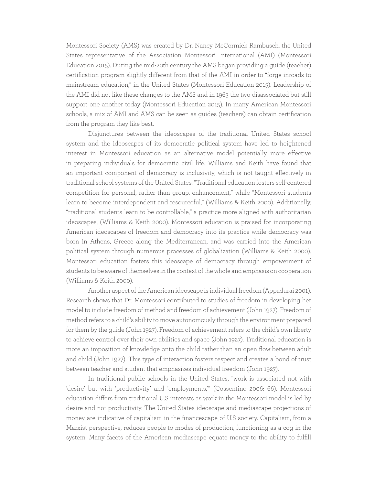Montessori Society (AMS) was created by Dr. Nancy McCormick Rambusch, the United States representative of the Association Montessori International (AMI) (Montessori Education 2015). During the mid-20th century the AMS began providing a guide (teacher) certification program slightly different from that of the AMI in order to "forge inroads to mainstream education," in the United States (Montessori Education 2015). Leadership of the AMI did not like these changes to the AMS and in 1963 the two disassociated but still support one another today (Montessori Education 2015). In many American Montessori schools, a mix of AMI and AMS can be seen as guides (teachers) can obtain certification from the program they like best.

Disjunctures between the ideoscapes of the traditional United States school system and the ideoscapes of its democratic political system have led to heightened interest in Montessori education as an alternative model potentially more effective in preparing individuals for democratic civil life. Williams and Keith have found that an important component of democracy is inclusivity, which is not taught effectively in traditional school systems of the United States. "Traditional education fosters self-centered competition for personal, rather than group, enhancement," while "Montessori students learn to become interdependent and resourceful," (Williams & Keith 2000). Additionally, "traditional students learn to be controllable," a practice more aligned with authoritarian ideoscapes, (Williams & Keith 2000). Montessori education is praised for incorporating American ideoscapes of freedom and democracy into its practice while democracy was born in Athens, Greece along the Mediterranean, and was carried into the American political system through numerous processes of globalization (Williams & Keith 2000). Montessori education fosters this ideoscape of democracy through empowerment of students to be aware of themselves in the context of the whole and emphasis on cooperation (Williams & Keith 2000).

Another aspect of the American ideoscape is individual freedom (Appadurai 2001). Research shows that Dr. Montessori contributed to studies of freedom in developing her model to include freedom of method and freedom of achievement (John 1927). Freedom of method refers to a child's ability to move autonomously through the environment prepared for them by the guide (John 1927). Freedom of achievement refers to the child's own liberty to achieve control over their own abilities and space (John 1927). Traditional education is more an imposition of knowledge onto the child rather than an open flow between adult and child (John 1927). This type of interaction fosters respect and creates a bond of trust between teacher and student that emphasizes individual freedom (John 1927).

In traditional public schools in the United States, "work is associated not with 'desire' but with 'productivity' and 'employments,'" (Cossentino 2006: 66). Montessori education differs from traditional U.S interests as work in the Montessori model is led by desire and not productivity. The United States ideoscape and mediascape projections of money are indicative of capitalism in the financescape of U.S society. Capitalism, from a Marxist perspective, reduces people to modes of production, functioning as a cog in the system. Many facets of the American mediascape equate money to the ability to fulfill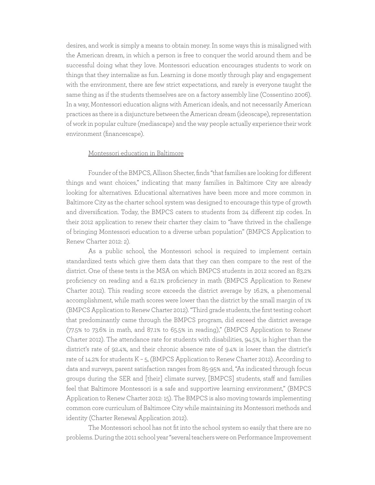desires, and work is simply a means to obtain money. In some ways this is misaligned with the American dream, in which a person is free to conquer the world around them and be successful doing what they love. Montessori education encourages students to work on things that they internalize as fun. Learning is done mostly through play and engagement with the environment, there are few strict expectations, and rarely is everyone taught the same thing as if the students themselves are on a factory assembly line (Cossentino 2006). In a way, Montessori education aligns with American ideals, and not necessarily American practices as there is a disjuncture between the American dream (ideoscape), representation of work in popular culture (mediascape) and the way people actually experience their work environment (financescape).

#### Montessori education in Baltimore

Founder of the BMPCS, Allison Shecter, finds "that families are looking for different things and want choices," indicating that many families in Baltimore City are already looking for alternatives. Educational alternatives have been more and more common in Baltimore City as the charter school system was designed to encourage this type of growth and diversification. Today, the BMPCS caters to students from 24 different zip codes. In their 2012 application to renew their charter they claim to "have thrived in the challenge of bringing Montessori education to a diverse urban population" (BMPCS Application to Renew Charter 2012: 2).

As a public school, the Montessori school is required to implement certain standardized tests which give them data that they can then compare to the rest of the district. One of these tests is the MSA on which BMPCS students in 2012 scored an 83.2% proficiency on reading and a 62.1% proficiency in math (BMPCS Application to Renew Charter 2012). This reading score exceeds the district average by 16.2%, a phenomenal accomplishment, while math scores were lower than the district by the small margin of 1% (BMPCS Application to Renew Charter 2012). "Third grade students, the first testing cohort that predominantly came through the BMPCS program, did exceed the district average (77.5% to 73.6% in math, and 87.1% to 65.5% in reading)," (BMPCS Application to Renew Charter 2012). The attendance rate for students with disabilities, 94.5%, is higher than the district's rate of 92.4%, and their chronic absence rate of 9.4% is lower than the district's rate of 14.2% for students K – 5, (BMPCS Application to Renew Charter 2012). According to data and surveys, parent satisfaction ranges from 85-95% and, "As indicated through focus groups during the SER and [their] climate survey, [BMPCS] students, staff and families feel that Baltimore Montessori is a safe and supportive learning environment," (BMPCS Application to Renew Charter 2012: 15). The BMPCS is also moving towards implementing common core curriculum of Baltimore City while maintaining its Montessori methods and identity (Charter Renewal Application 2012).

The Montessori school has not fit into the school system so easily that there are no problems. During the 2011 school year "several teachers were on Performance Improvement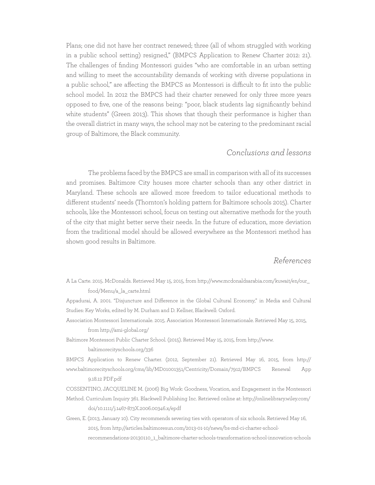Plans; one did not have her contract renewed; three (all of whom struggled with working in a public school setting) resigned," (BMPCS Application to Renew Charter 2012: 21). The challenges of finding Montessori guides "who are comfortable in an urban setting and willing to meet the accountability demands of working with diverse populations in a public school," are affecting the BMPCS as Montessori is difficult to fit into the public school model. In 2012 the BMPCS had their charter renewed for only three more years opposed to five, one of the reasons being: "poor, black students lag significantly behind white students" (Green 2013). This shows that though their performance is higher than the overall district in many ways, the school may not be catering to the predominant racial group of Baltimore, the Black community.

### *Conclusions and lessons*

The problems faced by the BMPCS are small in comparison with all of its successes and promises. Baltimore City houses more charter schools than any other district in Maryland. These schools are allowed more freedom to tailor educational methods to different students' needs (Thornton's holding pattern for Baltimore schools 2015). Charter schools, like the Montessori school, focus on testing out alternative methods for the youth of the city that might better serve their needs. In the future of education, more deviation from the traditional model should be allowed everywhere as the Montessori method has shown good results in Baltimore.

### *References*

- A La Carte. 2015. McDonalds. Retrieved May 15, 2015, from http://www.mcdonaldsarabia.com/kuwait/en/our\_ food/Menu/a\_la\_carte.html
- Appadurai, A. 2001. "Disjuncture and Difference in the Global Cultural Economy," in Media and Cultural Studies: Key Works, edited by M. Durham and D. Kellner, Blackwell: Oxford.
- Association Montessori Internationale. 2015. Association Montessori Internationale. Retrieved May 15, 2015, from http://ami-global.org/

Baltimore Montessori Public Charter School. (2015). Retrieved May 15, 2015, from http://www. baltimorecityschools.org/336

BMPCS Application to Renew Charter. (2012, September 21). Retrieved May 16, 2015, from http:// www.baltimorecityschools.org/cms/lib/MD01001351/Centricity/Domain/7912/BMPCS Renewal App 9.18.12 PDF.pdf

- COSSENTINO, JACQUELINE M. (2006) Big Work: Goodness, Vocation, and Engagement in the Montessori
- Method. Curriculum Inquiry 361. Blackwell Publishing Inc. Retrieved online at: http://onlinelibrary.wiley.com/ doi/10.1111/j.1467-873X.2006.00346.x/epdf
- Green, E. (2013, January 10). City recommends severing ties with operators of six schools. Retrieved May 16, 2015, from http://articles.baltimoresun.com/2013-01-10/news/bs-md-ci-charter-schoolrecommendations-20130110\_1\_baltimore-charter-schools-transformation-school-innovation-schools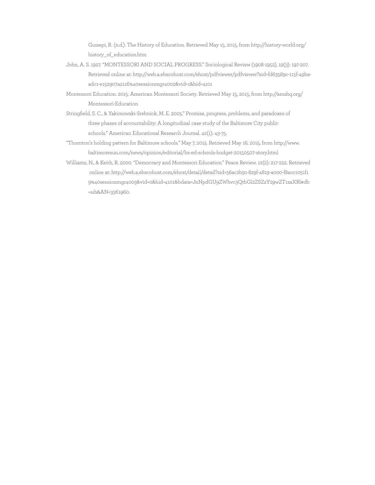Guisepi, R. (n.d.). The History of Education. Retrieved May 15, 2015, from http://history-world.org/ history\_of\_education.htm

- John, A. S. 1927. "MONTESSORI AND SOCIAL PROGRESS." Sociological Review (1908-1952), 19(3): 197-207. Retrieved online at: http://web.a.ebscohost.com/ehost/pdfviewer/pdfviewer?sid=fd63589c-115f-49baadc1-e152907a2116%40sessionmgr4002&vid=1&hid=4101
- Montessori Education. 2015. American Montessori Society. Retrieved May 15, 2015, from http://amshq.org/ Montessori-Education
- Stringfield, S. C., & Yakimowski-Srebnick, M. E. 2005." Promise, progress, problems, and paradoxes of three phases of accountability: A longitudinal case study of the Baltimore City public schools." American Educational Research Journal. 42(1): 43-75.
- "Thornton's holding pattern for Baltimore schools." May 7, 2015. Retrieved May 16, 2015, from http://www. baltimoresun.com/news/opinion/editorial/bs-ed-schools-budget-20150507-story.html
- Williams, N., & Keith, R. 2000. "Democracy and Montessori Education." Peace Review. 12(2): 217-222. Retrieved online at: http://web.a.ebscohost.com/ehost/detail/detail?sid=56ac2b91-829f-4819-a000-f8acc1051f1 9%40sessionmgr4003&vid=0&hid=4101&bdata=JnNpdGU9ZWhvc3QtbGl2ZSZzY29wZT1zaXRl#db =sih&AN=3361960.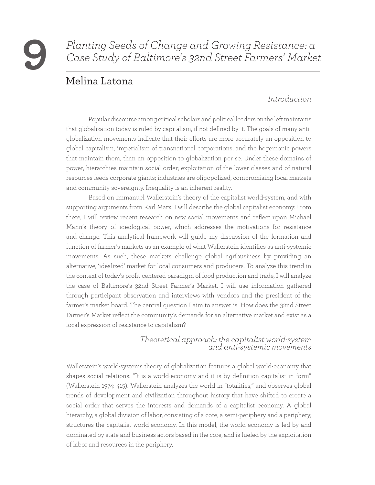# **9** *Planting Seeds of Change and Growing Resistance: a Case Study of Baltimore's 32nd Street Farmers' Market*

# Melina Latona

### *Introduction*

Popular discourse among critical scholars and political leaders on the left maintains that globalization today is ruled by capitalism, if not defined by it. The goals of many antiglobalization movements indicate that their efforts are more accurately an opposition to global capitalism, imperialism of transnational corporations, and the hegemonic powers that maintain them, than an opposition to globalization per se. Under these domains of power, hierarchies maintain social order; exploitation of the lower classes and of natural resources feeds corporate giants; industries are oligopolized, compromising local markets and community sovereignty. Inequality is an inherent reality.

 Based on Immanuel Wallerstein's theory of the capitalist world-system, and with supporting arguments from Karl Marx, I will describe the global capitalist economy. From there, I will review recent research on new social movements and reflect upon Michael Mann's theory of ideological power, which addresses the motivations for resistance and change. This analytical framework will guide my discussion of the formation and function of farmer's markets as an example of what Wallerstein identifies as anti-systemic movements. As such, these markets challenge global agribusiness by providing an alternative, 'idealized' market for local consumers and producers. To analyze this trend in the context of today's profit-centered paradigm of food production and trade, I will analyze the case of Baltimore's 32nd Street Farmer's Market. I will use information gathered through participant observation and interviews with vendors and the president of the farmer's market board. The central question I aim to answer is: How does the 32nd Street Farmer's Market reflect the community's demands for an alternative market and exist as a local expression of resistance to capitalism?

# *Theoretical approach: the capitalist world-system and anti-systemic movements*

Wallerstein's world-systems theory of globalization features a global world-economy that shapes social relations: "It is a world-economy and it is by definition capitalist in form" (Wallerstein 1974: 415). Wallerstein analyzes the world in "totalities," and observes global trends of development and civilization throughout history that have shifted to create a social order that serves the interests and demands of a capitalist economy. A global hierarchy, a global division of labor, consisting of a core, a semi-periphery and a periphery, structures the capitalist world-economy. In this model, the world economy is led by and dominated by state and business actors based in the core, and is fueled by the exploitation of labor and resources in the periphery.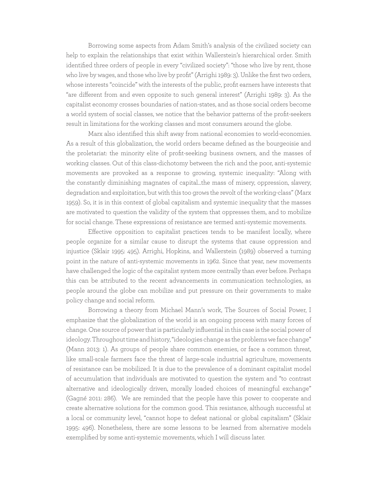Borrowing some aspects from Adam Smith's analysis of the civilized society can help to explain the relationships that exist within Wallerstein's hierarchical order. Smith identified three orders of people in every "civilized society": "those who live by rent, those who live by wages, and those who live by profit" (Arrighi 1989: 3). Unlike the first two orders, whose interests "coincide" with the interests of the public, profit earners have interests that "are different from and even opposite to such general interest" (Arrighi 1989: 3). As the capitalist economy crosses boundaries of nation-states, and as those social orders become a world system of social classes, we notice that the behavior patterns of the profit-seekers result in limitations for the working classes and most consumers around the globe.

Marx also identified this shift away from national economies to world-economies. As a result of this globalization, the world orders became defined as the bourgeoisie and the proletariat: the minority elite of profit-seeking business owners, and the masses of working classes. Out of this class-dichotomy between the rich and the poor, anti-systemic movements are provoked as a response to growing, systemic inequality: "Along with the constantly diminishing magnates of capital...the mass of misery, oppression, slavery, degradation and exploitation, but with this too grows the revolt of the working-class" (Marx 1959). So, it is in this context of global capitalism and systemic inequality that the masses are motivated to question the validity of the system that oppresses them, and to mobilize for social change. These expressions of resistance are termed anti-systemic movements.

Effective opposition to capitalist practices tends to be manifest locally, where people organize for a similar cause to disrupt the systems that cause oppression and injustice (Sklair 1995: 495). Arrighi, Hopkins, and Wallerstein (1989) observed a turning point in the nature of anti-systemic movements in 1962. Since that year, new movements have challenged the logic of the capitalist system more centrally than ever before. Perhaps this can be attributed to the recent advancements in communication technologies, as people around the globe can mobilize and put pressure on their governments to make policy change and social reform.

Borrowing a theory from Michael Mann's work, The Sources of Social Power, I emphasize that the globalization of the world is an ongoing process with many forces of change. One source of power that is particularly influential in this case is the social power of ideology. Throughout time and history, "ideologies change as the problems we face change" (Mann 2013: 1). As groups of people share common enemies, or face a common threat, like small-scale farmers face the threat of large-scale industrial agriculture, movements of resistance can be mobilized. It is due to the prevalence of a dominant capitalist model of accumulation that individuals are motivated to question the system and "to contrast alternative and ideologically driven, morally loaded choices of meaningful exchange" (Gagné 2011: 286). We are reminded that the people have this power to cooperate and create alternative solutions for the common good. This resistance, although successful at a local or community level, "cannot hope to defeat national or global capitalism" (Sklair 1995: 496). Nonetheless, there are some lessons to be learned from alternative models exemplified by some anti-systemic movements, which I will discuss later.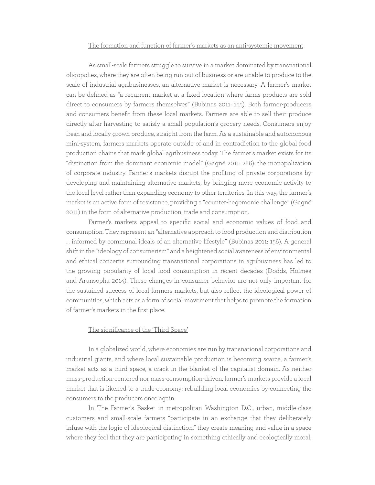### The formation and function of farmer's markets as an anti-systemic movement

As small-scale farmers struggle to survive in a market dominated by transnational oligopolies, where they are often being run out of business or are unable to produce to the scale of industrial agribusinesses, an alternative market is necessary. A farmer's market can be defined as "a recurrent market at a fixed location where farms products are sold direct to consumers by farmers themselves" (Bubinas 2011: 155). Both farmer-producers and consumers benefit from these local markets. Farmers are able to sell their produce directly after harvesting to satisfy a small population's grocery needs. Consumers enjoy fresh and locally grown produce, straight from the farm. As a sustainable and autonomous mini-system, farmers markets operate outside of and in contradiction to the global food production chains that mark global agribusiness today. The farmer's market exists for its "distinction from the dominant economic model" (Gagné 2011: 286): the monopolization of corporate industry. Farmer's markets disrupt the profiting of private corporations by developing and maintaining alternative markets, by bringing more economic activity to the local level rather than expanding economy to other territories. In this way, the farmer's market is an active form of resistance, providing a "counter-hegemonic challenge" (Gagné 2011) in the form of alternative production, trade and consumption.

Farmer's markets appeal to specific social and economic values of food and consumption. They represent an "alternative approach to food production and distribution … informed by communal ideals of an alternative lifestyle" (Bubinas 2011: 156). A general shift in the "ideology of consumerism" and a heightened social awareness of environmental and ethical concerns surrounding transnational corporations in agribusiness has led to the growing popularity of local food consumption in recent decades (Dodds, Holmes and Arunsopha 2014). These changes in consumer behavior are not only important for the sustained success of local farmers markets, but also reflect the ideological power of communities, which acts as a form of social movement that helps to promote the formation of farmer's markets in the first place.

#### The significance of the 'Third Space'

In a globalized world, where economies are run by transnational corporations and industrial giants, and where local sustainable production is becoming scarce, a farmer's market acts as a third space, a crack in the blanket of the capitalist domain. As neither mass-production-centered nor mass-consumption-driven, farmer's markets provide a local market that is likened to a trade-economy; rebuilding local economies by connecting the consumers to the producers once again.

In The Farmer's Basket in metropolitan Washington D.C., urban, middle-class customers and small-scale farmers "participate in an exchange that they deliberately infuse with the logic of ideological distinction," they create meaning and value in a space where they feel that they are participating in something ethically and ecologically moral,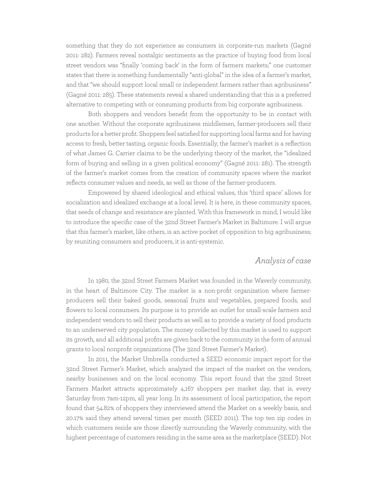something that they do not experience as consumers in corporate-run markets (Gagné 2011: 282). Farmers reveal nostalgic sentiments as the practice of buying food from local street vendors was "finally 'coming back' in the form of farmers markets;" one customer states that there is something fundamentally "anti-global" in the idea of a farmer's market, and that "we should support local small or independent farmers rather than agribusiness" (Gagné 2011: 285). These statements reveal a shared understanding that this is a preferred alternative to competing with or consuming products from big corporate agribusiness.

Both shoppers and vendors benefit from the opportunity to be in contact with one another. Without the corporate agribusiness middlemen, farmer-producers sell their products for a better profit. Shoppers feel satisfied for supporting local farms and for having access to fresh, better tasting, organic foods. Essentially, the farmer's market is a reflection of what James G. Carrier claims to be the underlying theory of the market, the "idealized form of buying and selling in a given political economy" (Gagné 2011: 281). The strength of the farmer's market comes from the creation of community spaces where the market reflects consumer values and needs, as well as those of the farmer-producers.

Empowered by shared ideological and ethical values, this 'third space' allows for socialization and idealized exchange at a local level. It is here, in these community spaces, that seeds of change and resistance are planted. With this framework in mind, I would like to introduce the specific case of the 32nd Street Farmer's Market in Baltimore. I will argue that this farmer's market, like others, is an active pocket of opposition to big agribusiness; by reuniting consumers and producers, it is anti-systemic.

### *Analysis of case*

In 1980, the 32nd Street Farmers Market was founded in the Waverly community, in the heart of Baltimore City. The market is a non-profit organization where farmerproducers sell their baked goods, seasonal fruits and vegetables, prepared foods, and flowers to local consumers. Its purpose is to provide an outlet for small-scale farmers and independent vendors to sell their products as well as to provide a variety of food products to an underserved city population. The money collected by this market is used to support its growth, and all additional profits are given back to the community in the form of annual grants to local nonprofit organizations (The 32nd Street Farmer's Market).

In 2011, the Market Umbrella conducted a SEED economic impact report for the 32nd Street Farmer's Market, which analyzed the impact of the market on the vendors, nearby businesses and on the local economy. This report found that the 32nd Street Farmers Market attracts approximately 4,167 shoppers per market day, that is, every Saturday from 7am-12pm, all year long. In its assessment of local participation, the report found that 54.82% of shoppers they interviewed attend the Market on a weekly basis, and 20.17% said they attend several times per month (SEED 2011). The top ten zip codes in which customers reside are those directly surrounding the Waverly community, with the highest percentage of customers residing in the same area as the marketplace (SEED). Not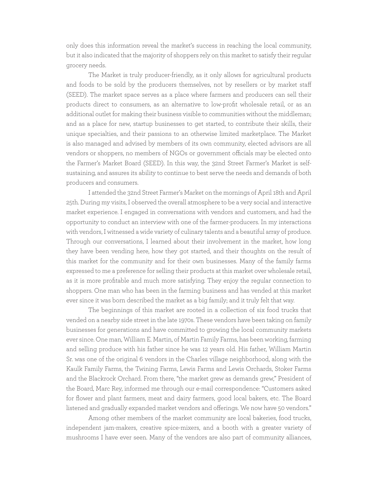only does this information reveal the market's success in reaching the local community, but it also indicated that the majority of shoppers rely on this market to satisfy their regular grocery needs.

The Market is truly producer-friendly, as it only allows for agricultural products and foods to be sold by the producers themselves, not by resellers or by market staff (SEED). The market space serves as a place where farmers and producers can sell their products direct to consumers, as an alternative to low-profit wholesale retail, or as an additional outlet for making their business visible to communities without the middleman; and as a place for new, startup businesses to get started, to contribute their skills, their unique specialties, and their passions to an otherwise limited marketplace. The Market is also managed and advised by members of its own community, elected advisors are all vendors or shoppers, no members of NGOs or government officials may be elected onto the Farmer's Market Board (SEED). In this way, the 32nd Street Farmer's Market is selfsustaining, and assures its ability to continue to best serve the needs and demands of both producers and consumers.

I attended the 32nd Street Farmer's Market on the mornings of April 18th and April 25th. During my visits, I observed the overall atmosphere to be a very social and interactive market experience. I engaged in conversations with vendors and customers, and had the opportunity to conduct an interview with one of the farmer-producers. In my interactions with vendors, I witnessed a wide variety of culinary talents and a beautiful array of produce. Through our conversations, I learned about their involvement in the market, how long they have been vending here, how they got started, and their thoughts on the result of this market for the community and for their own businesses. Many of the family farms expressed to me a preference for selling their products at this market over wholesale retail, as it is more profitable and much more satisfying. They enjoy the regular connection to shoppers. One man who has been in the farming business and has vended at this market ever since it was born described the market as a big family; and it truly felt that way.

The beginnings of this market are rooted in a collection of six food trucks that vended on a nearby side street in the late 1970s. These vendors have been taking on family businesses for generations and have committed to growing the local community markets ever since. One man, William E. Martin, of Martin Family Farms, has been working, farming and selling produce with his father since he was 12 years old. His father, William Martin Sr. was one of the original 6 vendors in the Charles village neighborhood, along with the Kaulk Family Farms, the Twining Farms, Lewis Farms and Lewis Orchards, Stoker Farms and the Blackrock Orchard. From there, "the market grew as demands grew," President of the Board, Marc Rey, informed me through our e-mail correspondence: "Customers asked for flower and plant farmers, meat and dairy farmers, good local bakers, etc. The Board listened and gradually expanded market vendors and offerings. We now have 50 vendors."

Among other members of the market community are local bakeries, food trucks, independent jam-makers, creative spice-mixers, and a booth with a greater variety of mushrooms I have ever seen. Many of the vendors are also part of community alliances,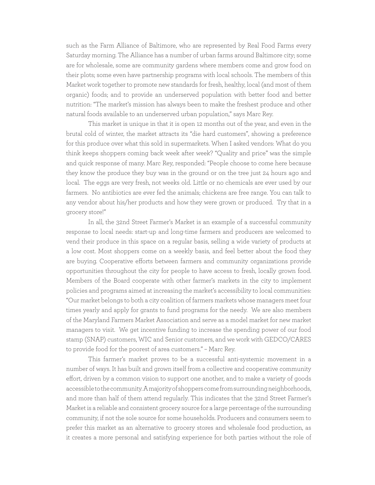such as the Farm Alliance of Baltimore, who are represented by Real Food Farms every Saturday morning. The Alliance has a number of urban farms around Baltimore city; some are for wholesale, some are community gardens where members come and grow food on their plots; some even have partnership programs with local schools. The members of this Market work together to promote new standards for fresh, healthy, local (and most of them organic) foods; and to provide an underserved population with better food and better nutrition: "The market's mission has always been to make the freshest produce and other natural foods available to an underserved urban population," says Marc Rey.

This market is unique in that it is open 12 months out of the year, and even in the brutal cold of winter, the market attracts its "die hard customers", showing a preference for this produce over what this sold in supermarkets. When I asked vendors: What do you think keeps shoppers coming back week after week? "Quality and price" was the simple and quick response of many. Marc Rey, responded: "People choose to come here because they know the produce they buy was in the ground or on the tree just 24 hours ago and local. The eggs are very fresh, not weeks old. Little or no chemicals are ever used by our farmers. No antibiotics are ever fed the animals; chickens are free range. You can talk to any vendor about his/her products and how they were grown or produced. Try that in a grocery store!"

In all, the 32nd Street Farmer's Market is an example of a successful community response to local needs: start-up and long-time farmers and producers are welcomed to vend their produce in this space on a regular basis, selling a wide variety of products at a low cost. Most shoppers come on a weekly basis, and feel better about the food they are buying. Cooperative efforts between farmers and community organizations provide opportunities throughout the city for people to have access to fresh, locally grown food. Members of the Board cooperate with other farmer's markets in the city to implement policies and programs aimed at increasing the market's accessibility to local communities: "Our market belongs to both a city coalition of farmers markets whose managers meet four times yearly and apply for grants to fund programs for the needy. We are also members of the Maryland Farmers Market Association and serve as a model market for new market managers to visit. We get incentive funding to increase the spending power of our food stamp (SNAP) customers, WIC and Senior customers, and we work with GEDCO/CARES to provide food for the poorest of area customers." – Marc Rey.

This farmer's market proves to be a successful anti-systemic movement in a number of ways. It has built and grown itself from a collective and cooperative community effort, driven by a common vision to support one another, and to make a variety of goods accessible to the community. A majority of shoppers come from surrounding neighborhoods, and more than half of them attend regularly. This indicates that the 32nd Street Farmer's Market is a reliable and consistent grocery source for a large percentage of the surrounding community, if not the sole source for some households. Producers and consumers seem to prefer this market as an alternative to grocery stores and wholesale food production, as it creates a more personal and satisfying experience for both parties without the role of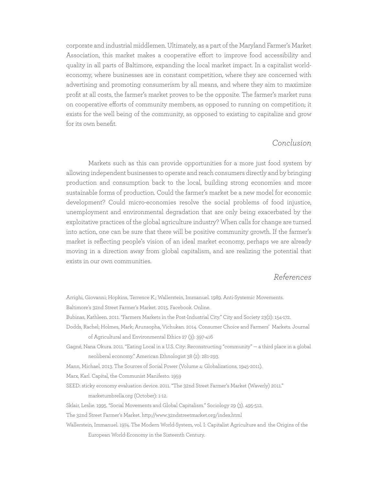corporate and industrial middlemen. Ultimately, as a part of the Maryland Farmer's Market Association, this market makes a cooperative effort to improve food accessibility and quality in all parts of Baltimore, expanding the local market impact. In a capitalist worldeconomy, where businesses are in constant competition, where they are concerned with advertising and promoting consumerism by all means, and where they aim to maximize profit at all costs, the farmer's market proves to be the opposite. The farmer's market runs on cooperative efforts of community members, as opposed to running on competition; it exists for the well being of the community, as opposed to existing to capitalize and grow for its own benefit.

### *Conclusion*

Markets such as this can provide opportunities for a more just food system by allowing independent businesses to operate and reach consumers directly and by bringing production and consumption back to the local, building strong economies and more sustainable forms of production. Could the farmer's market be a new model for economic development? Could micro-economies resolve the social problems of food injustice, unemployment and environmental degradation that are only being exacerbated by the exploitative practices of the global agriculture industry? When calls for change are turned into action, one can be sure that there will be positive community growth. If the farmer's market is reflecting people's vision of an ideal market economy, perhaps we are already moving in a direction away from global capitalism, and are realizing the potential that exists in our own communities.

### *References*

- Arrighi, Giovanni; Hopkins, Terrence K.; Wallerstein, Immanuel. 1989. Anti-Systemic Movements. Baltimore's 32nd Street Farmer's Market. 2015. Facebook. Online.
- Bubinas, Kathleen. 2011. "Farmers Markets in the Post-Industrial City." City and Society 23(2): 154-172.
- Dodds, Rachel; Holmes, Mark; Arunsopha, Vichukan. 2014. Consumer Choice and Farmers' Markets. Journal of Agricultural and Environmental Ethics 27 (3): 397-416
- Gagné, Nana Okura. 2011. "Eating Local in a U.S. City: Reconstructing "community" a third place in a global neoliberal economy." American Ethnologist 38 (2): 281-293.

Mann, Michael. 2013. The Sources of Social Power (Volume 4: Globalizations, 1945-2011).

Marx, Karl. Capital, the Communist Manifesto. 1959

- SEED: sticky economy evaluation device. 2011. "The 32nd Street Farmer's Market (Waverly) 2011." marketumbrella.org (October): 1-12.
- Sklair, Leslie. 1995. "Social Movements and Global Capitalism." Sociology 29 (3). 495-512.

The 32nd Street Farmer's Market. http://www.32ndstreetmarket.org/index.html

Wallerstein, Immanuel. 1974. The Modern World-System, vol. I: Capitalist Agriculture and the Origins of the

European World-Economy in the Sixteenth Century.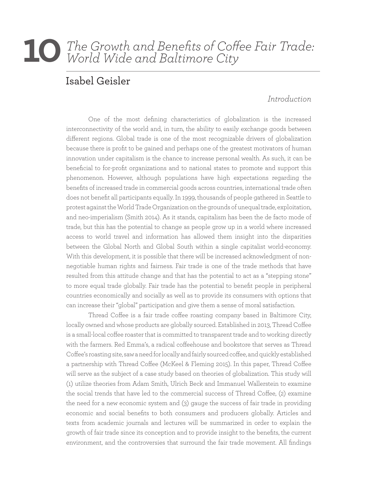# **10** *The Growth and Benefits of Coffee Fair Trade: World Wide and Baltimore City*

## Isabel Geisler

### *Introduction*

One of the most defining characteristics of globalization is the increased interconnectivity of the world and, in turn, the ability to easily exchange goods between different regions. Global trade is one of the most recognizable drivers of globalization because there is profit to be gained and perhaps one of the greatest motivators of human innovation under capitalism is the chance to increase personal wealth. As such, it can be beneficial to for-profit organizations and to national states to promote and support this phenomenon. However, although populations have high expectations regarding the benefits of increased trade in commercial goods across countries, international trade often does not benefit all participants equally. In 1999, thousands of people gathered in Seattle to protest against the World Trade Organization on the grounds of unequal trade, exploitation, and neo-imperialism (Smith 2014). As it stands, capitalism has been the de facto mode of trade, but this has the potential to change as people grow up in a world where increased access to world travel and information has allowed them insight into the disparities between the Global North and Global South within a single capitalist world-economy. With this development, it is possible that there will be increased acknowledgment of nonnegotiable human rights and fairness. Fair trade is one of the trade methods that have resulted from this attitude change and that has the potential to act as a "stepping stone" to more equal trade globally. Fair trade has the potential to benefit people in peripheral countries economically and socially as well as to provide its consumers with options that can increase their "global" participation and give them a sense of moral satisfaction.

Thread Coffee is a fair trade coffee roasting company based in Baltimore City, locally owned and whose products are globally sourced. Established in 2013, Thread Coffee is a small-local coffee roaster that is committed to transparent trade and to working directly with the farmers. Red Emma's, a radical coffeehouse and bookstore that serves as Thread Coffee's roasting site, saw a need for locally and fairly sourced coffee, and quickly established a partnership with Thread Coffee (McKeel & Fleming 2015). In this paper, Thread Coffee will serve as the subject of a case study based on theories of globalization. This study will (1) utilize theories from Adam Smith, Ulrich Beck and Immanuel Wallerstein to examine the social trends that have led to the commercial success of Thread Coffee, (2) examine the need for a new economic system and (3) gauge the success of fair trade in providing economic and social benefits to both consumers and producers globally. Articles and texts from academic journals and lectures will be summarized in order to explain the growth of fair trade since its conception and to provide insight to the benefits, the current environment, and the controversies that surround the fair trade movement. All findings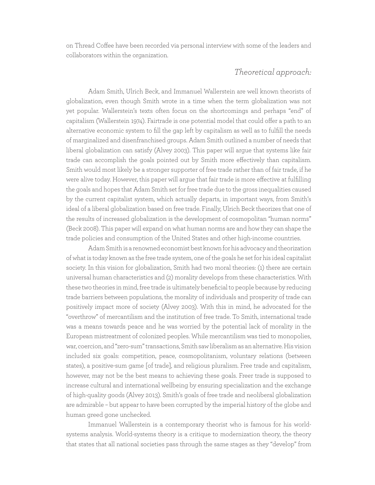on Thread Coffee have been recorded via personal interview with some of the leaders and collaborators within the organization.

## *Theoretical approach:*

Adam Smith, Ulrich Beck, and Immanuel Wallerstein are well known theorists of globalization, even though Smith wrote in a time when the term globalization was not yet popular. Wallerstein's texts often focus on the shortcomings and perhaps "end" of capitalism (Wallerstein 1974). Fairtrade is one potential model that could offer a path to an alternative economic system to fill the gap left by capitalism as well as to fulfill the needs of marginalized and disenfranchised groups. Adam Smith outlined a number of needs that liberal globalization can satisfy (Alvey 2003). This paper will argue that systems like fair trade can accomplish the goals pointed out by Smith more effectively than capitalism. Smith would most likely be a stronger supporter of free trade rather than of fair trade, if he were alive today. However, this paper will argue that fair trade is more effective at fulfilling the goals and hopes that Adam Smith set for free trade due to the gross inequalities caused by the current capitalist system, which actually departs, in important ways, from Smith's ideal of a liberal globalization based on free trade. Finally, Ulrich Beck theorizes that one of the results of increased globalization is the development of cosmopolitan "human norms" (Beck 2008). This paper will expand on what human norms are and how they can shape the trade policies and consumption of the United States and other high-income countries.

Adam Smith is a renowned economist best known for his advocacy and theorization of what is today known as the free trade system, one of the goals he set for his ideal capitalist society. In this vision for globalization, Smith had two moral theories: (1) there are certain universal human characteristics and (2) morality develops from these characteristics. With these two theories in mind, free trade is ultimately beneficial to people because by reducing trade barriers between populations, the morality of individuals and prosperity of trade can positively impact more of society (Alvey 2003). With this in mind, he advocated for the "overthrow" of mercantilism and the institution of free trade. To Smith, international trade was a means towards peace and he was worried by the potential lack of morality in the European mistreatment of colonized peoples. While mercantilism was tied to monopolies, war, coercion, and "zero-sum" transactions, Smith saw liberalism as an alternative. His vision included six goals: competition, peace, cosmopolitanism, voluntary relations (between states), a positive-sum game [of trade], and religious pluralism. Free trade and capitalism, however, may not be the best means to achieving these goals. Freer trade is supposed to increase cultural and international wellbeing by ensuring specialization and the exchange of high-quality goods (Alvey 2013). Smith's goals of free trade and neoliberal globalization are admirable – but appear to have been corrupted by the imperial history of the globe and human greed gone unchecked.

Immanuel Wallerstein is a contemporary theorist who is famous for his worldsystems analysis. World-systems theory is a critique to modernization theory, the theory that states that all national societies pass through the same stages as they "develop" from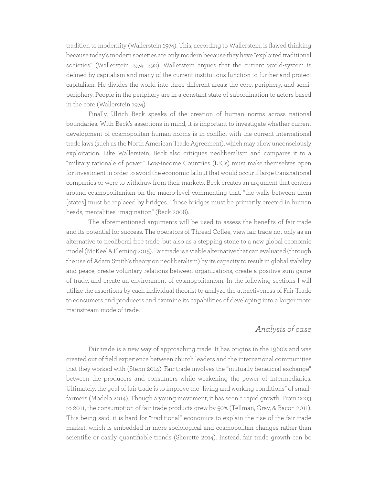tradition to modernity (Wallerstein 1974). This, according to Wallerstein, is flawed thinking because today's modern societies are only modern because they have "exploited traditional societies" (Wallerstein 1974: 392). Wallerstein argues that the current world-system is defined by capitalism and many of the current institutions function to further and protect capitalism. He divides the world into three different areas: the core, periphery, and semiperiphery. People in the periphery are in a constant state of subordination to actors based in the core (Wallerstein 1974).

Finally, Ulrich Beck speaks of the creation of human norms across national boundaries. With Beck's assertions in mind, it is important to investigate whether current development of cosmopolitan human norms is in conflict with the current international trade laws (such as the North American Trade Agreement), which may allow unconsciously exploitation. Like Wallerstein, Beck also critiques neoliberalism and compares it to a "military rationale of power." Low-income Countries (LICs) must make themselves open for investment in order to avoid the economic fallout that would occur if large transnational companies or were to withdraw from their markets. Beck creates an argument that centers around cosmopolitanism on the macro-level commenting that, "the walls between them [states] must be replaced by bridges. Those bridges must be primarily erected in human heads, mentalities, imagination" (Beck 2008).

The aforementioned arguments will be used to assess the benefits of fair trade and its potential for success. The operators of Thread Coffee, view fair trade not only as an alternative to neoliberal free trade, but also as a stepping stone to a new global economic model (McKeel & Fleming 2015). Fair trade is a viable alternative that can evaluated (through the use of Adam Smith's theory on neoliberalism) by its capacity to result in global stability and peace, create voluntary relations between organizations, create a positive-sum game of trade, and create an environment of cosmopolitanism. In the following sections I will utilize the assertions by each individual theorist to analyze the attractiveness of Fair Trade to consumers and producers and examine its capabilities of developing into a larger more mainstream mode of trade.

## *Analysis of case*

Fair trade is a new way of approaching trade. It has origins in the 1960's and was created out of field experience between church leaders and the international communities that they worked with (Stenn 2014). Fair trade involves the "mutually beneficial exchange" between the producers and consumers while weakening the power of intermediaries. Ultimately, the goal of fair trade is to improve the "living and working conditions" of smallfarmers (Modelo 2014). Though a young movement, it has seen a rapid growth. From 2003 to 2011, the consumption of fair trade products grew by 50% (Tellman, Gray, & Bacon 2011). This being said, it is hard for "traditional" economics to explain the rise of the fair trade market, which is embedded in more sociological and cosmopolitan changes rather than scientific or easily quantifiable trends (Shorette 2014). Instead, fair trade growth can be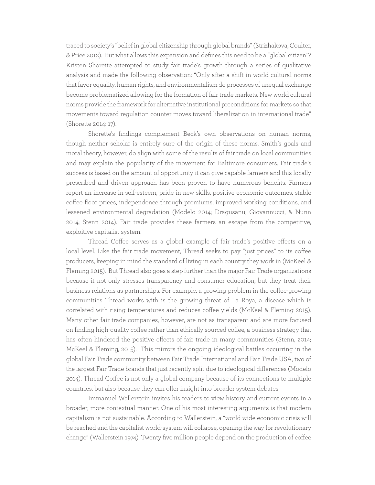traced to society's "belief in global citizenship through global brands" (Strizhakova, Coulter, & Price 2012). But what allows this expansion and defines this need to be a "global citizen"? Kristen Shorette attempted to study fair trade's growth through a series of qualitative analysis and made the following observation: "Only after a shift in world cultural norms that favor equality, human rights, and environmentalism do processes of unequal exchange become problematized allowing for the formation of fair trade markets. New world cultural norms provide the framework for alternative institutional preconditions for markets so that movements toward regulation counter moves toward liberalization in international trade" (Shorette 2014: 17).

Shorette's findings complement Beck's own observations on human norms, though neither scholar is entirely sure of the origin of these norms. Smith's goals and moral theory, however, do align with some of the results of fair trade on local communities and may explain the popularity of the movement for Baltimore consumers. Fair trade's success is based on the amount of opportunity it can give capable farmers and this locally prescribed and driven approach has been proven to have numerous benefits. Farmers report an increase in self-esteem, pride in new skills, positive economic outcomes, stable coffee floor prices, independence through premiums, improved working conditions, and lessened environmental degradation (Modelo 2014; Dragusanu, Giovannucci, & Nunn 2014; Stenn 2014). Fair trade provides these farmers an escape from the competitive, exploitive capitalist system.

Thread Coffee serves as a global example of fair trade's positive effects on a local level. Like the fair trade movement, Thread seeks to pay "just prices" to its coffee producers, keeping in mind the standard of living in each country they work in (McKeel & Fleming 2015). But Thread also goes a step further than the major Fair Trade organizations because it not only stresses transparency and consumer education, but they treat their business relations as partnerships. For example, a growing problem in the coffee-growing communities Thread works with is the growing threat of La Roya, a disease which is correlated with rising temperatures and reduces coffee yields (McKeel & Fleming 2015). Many other fair trade companies, however, are not as transparent and are more focused on finding high-quality coffee rather than ethically sourced coffee, a business strategy that has often hindered the positive effects of fair trade in many communities (Stenn, 2014; McKeel & Fleming, 2015). This mirrors the ongoing ideological battles occurring in the global Fair Trade community between Fair Trade International and Fair Trade USA, two of the largest Fair Trade brands that just recently split due to ideological differences (Modelo 2014). Thread Coffee is not only a global company because of its connections to multiple countries, but also because they can offer insight into broader system debates.

Immanuel Wallerstein invites his readers to view history and current events in a broader, more contextual manner. One of his most interesting arguments is that modern capitalism is not sustainable. According to Wallerstein, a "world wide economic crisis will be reached and the capitalist world-system will collapse, opening the way for revolutionary change" (Wallerstein 1974). Twenty five million people depend on the production of coffee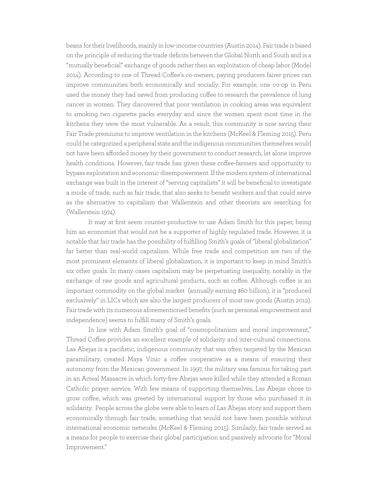beans for their livelihoods, mainly in low-income countries (Austin 2014). Fair trade is based on the principle of reducing the trade deficits between the Global North and South and is a "mutually beneficial" exchange of goods rather then an exploitation of cheap labor (Model 2014). According to one of Thread Coffee's co-owners, paying producers fairer prices can improve communities both economically and socially. For example, one co-op in Peru used the money they had saved from producing coffee to research the prevalence of lung cancer in women. They discovered that poor ventilation in cooking areas was equivalent to smoking two cigarette packs everyday and since the women spent most time in the kitchens they were the most vulnerable. As a result, this community is now saving their Fair Trade premiums to improve ventilation in the kitchens (McKeel & Fleming 2015). Peru could be categorized a peripheral state and the indigenous communities themselves would not have been afforded money by their government to conduct research, let alone improve health conditions. However, fair trade has given these coffee-farmers and opportunity to bypass exploitation and economic disempowerment. If the modern system of international exchange was built in the interest of "serving capitalists" it will be beneficial to investigate a mode of trade, such as fair trade, that also seeks to benefit workers and that could serve as the alternative to capitalism that Wallerstein and other theorists are searching for (Wallerstein 1974).

It may at first seem counter-productive to use Adam Smith for this paper, being him an economist that would not be a supporter of highly regulated trade. However, it is notable that fair trade has the possibility of fulfilling Smith's goals of "liberal globalization" far better than real-world capitalism. While free trade and competition are two of the most prominent elements of liberal globalization, it is important to keep in mind Smith's six other goals. In many cases capitalism may be perpetuating inequality, notably in the exchange of raw goods and agricultural products, such as coffee. Although coffee is an important commodity on the global market (annually earning \$60 billion), it is "produced exclusively" in LICs which are also the largest producers of most raw goods (Austin 2012). Fair trade with its numerous aforementioned benefits (such as personal empowerment and independence) seems to fulfill many of Smith's goals.

In line with Adam Smith's goal of "cosmopolitanism and moral improvement," Thread Coffee provides an excellent example of solidarity and inter-cultural connections. Las Abejas is a pacifistic, indigenous community that was often targeted by the Mexican paramilitary, created Maya Vinic a coffee cooperative as a means of ensuring their autonomy from the Mexican government. In 1997, the military was famous for taking part in an Acteal Massacre in which forty-five Abejas were killed while they attended a Roman Catholic prayer service. With few means of supporting themselves, Las Abejas chose to grow coffee, which was greeted by international support by those who purchased it in solidarity. People across the globe were able to learn of Las Abejas story and support them economically through fair trade, something that would not have been possible without international economic networks (McKeel & Fleming 2015). Similarly, fair trade served as a means for people to exercise their global participation and passively advocate for "Moral Improvement."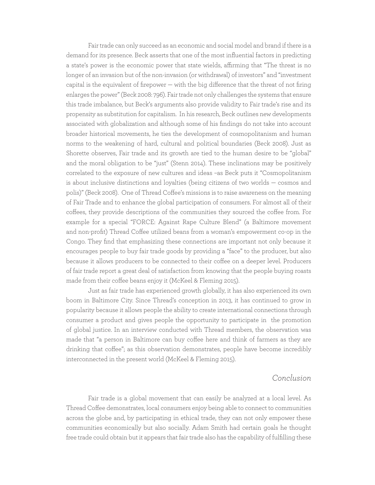Fair trade can only succeed as an economic and social model and brand if there is a demand for its presence. Beck asserts that one of the most influential factors in predicting a state's power is the economic power that state wields, affirming that "The threat is no longer of an invasion but of the non-invasion (or withdrawal) of investors" and "investment capital is the equivalent of firepower — with the big difference that the threat of not firing enlarges the power" (Beck 2008: 796). Fair trade not only challenges the systems that ensure this trade imbalance, but Beck's arguments also provide validity to Fair trade's rise and its propensity as substitution for capitalism. In his research, Beck outlines new developments associated with globalization and although some of his findings do not take into account broader historical movements, he ties the development of cosmopolitanism and human norms to the weakening of hard, cultural and political boundaries (Beck 2008). Just as Shorette observes, Fair trade and its growth are tied to the human desire to be "global" and the moral obligation to be "just" (Stenn 2014). These inclinations may be positively correlated to the exposure of new cultures and ideas –as Beck puts it "Cosmopolitanism is about inclusive distinctions and loyalties (being citizens of two worlds — cosmos and polis)" (Beck 2008). One of Thread Coffee's missions is to raise awareness on the meaning of Fair Trade and to enhance the global participation of consumers. For almost all of their coffees, they provide descriptions of the communities they sourced the coffee from. For example for a special "FORCE: Against Rape Culture Blend" (a Baltimore movement and non-profit) Thread Coffee utilized beans from a woman's empowerment co-op in the Congo. They find that emphasizing these connections are important not only because it encourages people to buy fair trade goods by providing a "face" to the producer, but also because it allows producers to be connected to their coffee on a deeper level. Producers of fair trade report a great deal of satisfaction from knowing that the people buying roasts made from their coffee beans enjoy it (McKeel & Fleming 2015).

Just as fair trade has experienced growth globally, it has also experienced its own boom in Baltimore City. Since Thread's conception in 2013, it has continued to grow in popularity because it allows people the ability to create international connections through consumer a product and gives people the opportunity to participate in the promotion of global justice. In an interview conducted with Thread members, the observation was made that "a person in Baltimore can buy coffee here and think of farmers as they are drinking that coffee"; as this observation demonstrates, people have become incredibly interconnected in the present world (McKeel & Fleming 2015).

## *Conclusion*

Fair trade is a global movement that can easily be analyzed at a local level. As Thread Coffee demonstrates, local consumers enjoy being able to connect to communities across the globe and, by participating in ethical trade, they can not only empower these communities economically but also socially. Adam Smith had certain goals he thought free trade could obtain but it appears that fair trade also has the capability of fulfilling these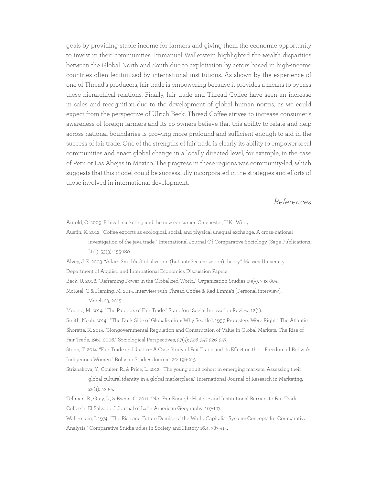goals by providing stable income for farmers and giving them the economic opportunity to invest in their communities. Immanuel Wallerstein highlighted the wealth disparities between the Global North and South due to exploitation by actors based in high-income countries often legitimized by international institutions. As shown by the experience of one of Thread's producers, fair trade is empowering because it provides a means to bypass these hierarchical relations. Finally, fair trade and Thread Coffee have seen an increase in sales and recognition due to the development of global human norms, as we could expect from the perspective of Ulrich Beck. Thread Coffee strives to increase consumer's awareness of foreign farmers and its co-owners believe that this ability to relate and help across national boundaries is growing more profound and sufficient enough to aid in the success of fair trade. One of the strengths of fair trade is clearly its ability to empower local communities and enact global change in a locally directed level, for example, in the case of Peru or Las Abejas in Mexico. The progress in these regions was community-led, which suggests that this model could be successfully incorporated in the strategies and efforts of those involved in international development.

*References*

Arnold, C. 2009. Ethical marketing and the new consumer. Chichester, U.K.: Wiley.

- Austin, K. 2012. "Coffee exports as ecological, social, and physical unequal exchange: A cross-national
	- investigation of the java trade." International Journal Of Comparative Sociology (Sage Publications, Ltd.). 53(3): 155-180.
- Alvey, J. E. 2003. "Adam Smith's Globalization (but anti-Secularization) theory." Massey University.

Department of Applied and International Economics Discussion Papers.

Beck, U. 2008. "Reframing Power in the Globalized World," Organization Studies 29(5): 793-804.

McKeel, C & Fleming, M. 2015. Interview with Thread Coffee & Red Emma's [Personal interview]. March 23, 2015.

Modelo, M. 2014. "The Paradox of Fair Trade." Standford Social Innovation Review. 12(1).

Smith, Noah. 2014. "The Dark Side of Globalization: Why Seattle's 1999 Protesters Were Right." The Atlantic.

Shorette, K. 2014. "Nongovernmental Regulation and Construction of Value in Global Markets: The Rise of Fair Trade, 1961–2006." Sociological Perspectives, 57(4): 526–547-526–547.

Stenn, T. 2014. "Fair Trade and Justice: A Case Study of Fair Trade and its Effect on the Freedom of Bolivia's Indigenous Women." Bolivian Studies Journal. 20: 196-215.

Strizhakova, Y., Coulter, R., & Price, L. 2012. "The young adult cohort in emerging markets: Assessing their global cultural identity in a global marketplace." International Journal of Research in Marketing, 29(1): 43-54.

Tellman, B., Gray, L., & Bacon, C. 2011. "Not Fair Enough: Historic and Institutional Barriers to Fair Trade Coffee in El Salvador." Journal of Latin American Geography: 107-127.

Wallerstein, I. 1974. "The Rise and Future Demise of the World Capitalist System: Concepts for Comparative Analysis," Comparative Studie udies in Society and History 16:4, 387-414.